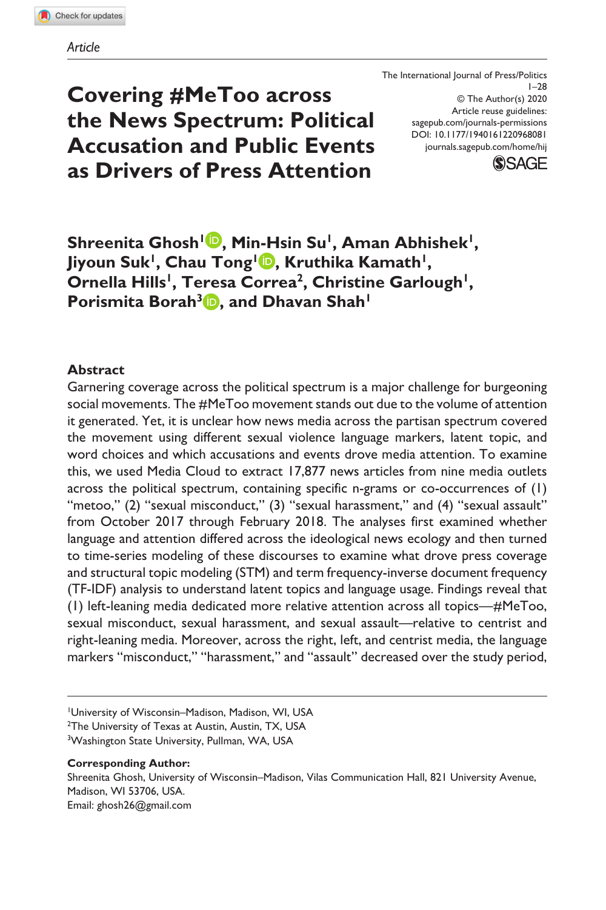# **Covering #MeToo across the News Spectrum: Political Accusation and Public Events as Drivers of Press Attention**

DOI: 10.1177/1940161220968081 The International Journal of Press/Politics 1–28 © The Author(s) 2020 Article reuse guidelines: [sagepub.com/journals-permissions](https://us.sagepub.com/en-us/journals-permissions) [journals.sagepub.com/home/hij](https://journals.sagepub.com/home/hij)



Shreenita Ghosh<sup>1</sup><sup>1</sup>, Min-Hsin Su<sup>1</sup>, Aman Abhishek<sup>1</sup>, **Jiyoun Suk<sup>1</sup>, Chau Tong<sup>1</sup> <b>, Kruthika Kamath**<sup>1</sup>, Ornella Hills<sup>1</sup>, Teresa Correa<sup>2</sup>, Christine Garlough<sup>1</sup>, **Porismita Borah<sup>3</sup><sup>1</sup></del>, and Dhavan Shah<sup>1</sup>** 

## **Abstract**

Garnering coverage across the political spectrum is a major challenge for burgeoning social movements. The #MeToo movement stands out due to the volume of attention it generated. Yet, it is unclear how news media across the partisan spectrum covered the movement using different sexual violence language markers, latent topic, and word choices and which accusations and events drove media attention. To examine this, we used Media Cloud to extract 17,877 news articles from nine media outlets across the political spectrum, containing specific n-grams or co-occurrences of (1) "metoo," (2) "sexual misconduct," (3) "sexual harassment," and (4) "sexual assault" from October 2017 through February 2018. The analyses first examined whether language and attention differed across the ideological news ecology and then turned to time-series modeling of these discourses to examine what drove press coverage and structural topic modeling (STM) and term frequency-inverse document frequency (TF-IDF) analysis to understand latent topics and language usage. Findings reveal that (1) left-leaning media dedicated more relative attention across all topics—#MeToo, sexual misconduct, sexual harassment, and sexual assault—relative to centrist and right-leaning media. Moreover, across the right, left, and centrist media, the language markers "misconduct," "harassment," and "assault" decreased over the study period,

1 University of Wisconsin–Madison, Madison, WI, USA

 $^{2}$ The University of Texas at Austin, Austin, TX, USA

<sup>3</sup>Washington State University, Pullman, WA, USA

#### **Corresponding Author:**

Shreenita Ghosh, University of Wisconsin–Madison, Vilas Communication Hall, 821 University Avenue, Madison, WI 53706, USA. Email: [ghosh26@gmail.com](mailto:ghosh26@gmail.com)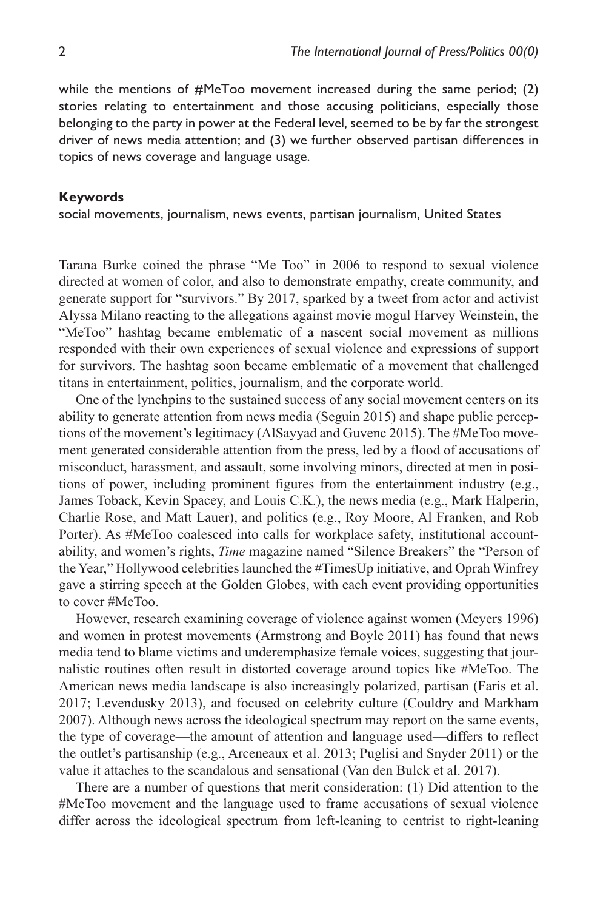while the mentions of  $\#$ MeToo movement increased during the same period; (2) stories relating to entertainment and those accusing politicians, especially those belonging to the party in power at the Federal level, seemed to be by far the strongest driver of news media attention; and (3) we further observed partisan differences in topics of news coverage and language usage.

#### **Keywords**

social movements, journalism, news events, partisan journalism, United States

Tarana Burke coined the phrase "Me Too" in 2006 to respond to sexual violence directed at women of color, and also to demonstrate empathy, create community, and generate support for "survivors." By 2017, sparked by a tweet from actor and activist Alyssa Milano reacting to the allegations against movie mogul Harvey Weinstein, the "MeToo" hashtag became emblematic of a nascent social movement as millions responded with their own experiences of sexual violence and expressions of support for survivors. The hashtag soon became emblematic of a movement that challenged titans in entertainment, politics, journalism, and the corporate world.

One of the lynchpins to the sustained success of any social movement centers on its ability to generate attention from news media (Seguin 2015) and shape public perceptions of the movement's legitimacy (AlSayyad and Guvenc 2015). The #MeToo movement generated considerable attention from the press, led by a flood of accusations of misconduct, harassment, and assault, some involving minors, directed at men in positions of power, including prominent figures from the entertainment industry (e.g., James Toback, Kevin Spacey, and Louis C.K.), the news media (e.g., Mark Halperin, Charlie Rose, and Matt Lauer), and politics (e.g., Roy Moore, Al Franken, and Rob Porter). As #MeToo coalesced into calls for workplace safety, institutional accountability, and women's rights, *Time* magazine named "Silence Breakers" the "Person of the Year," Hollywood celebrities launched the #TimesUp initiative, and Oprah Winfrey gave a stirring speech at the Golden Globes, with each event providing opportunities to cover #MeToo.

However, research examining coverage of violence against women (Meyers 1996) and women in protest movements (Armstrong and Boyle 2011) has found that news media tend to blame victims and underemphasize female voices, suggesting that journalistic routines often result in distorted coverage around topics like #MeToo. The American news media landscape is also increasingly polarized, partisan (Faris et al. 2017; Levendusky 2013), and focused on celebrity culture (Couldry and Markham 2007). Although news across the ideological spectrum may report on the same events, the type of coverage—the amount of attention and language used—differs to reflect the outlet's partisanship (e.g., Arceneaux et al. 2013; Puglisi and Snyder 2011) or the value it attaches to the scandalous and sensational (Van den Bulck et al. 2017).

There are a number of questions that merit consideration: (1) Did attention to the #MeToo movement and the language used to frame accusations of sexual violence differ across the ideological spectrum from left-leaning to centrist to right-leaning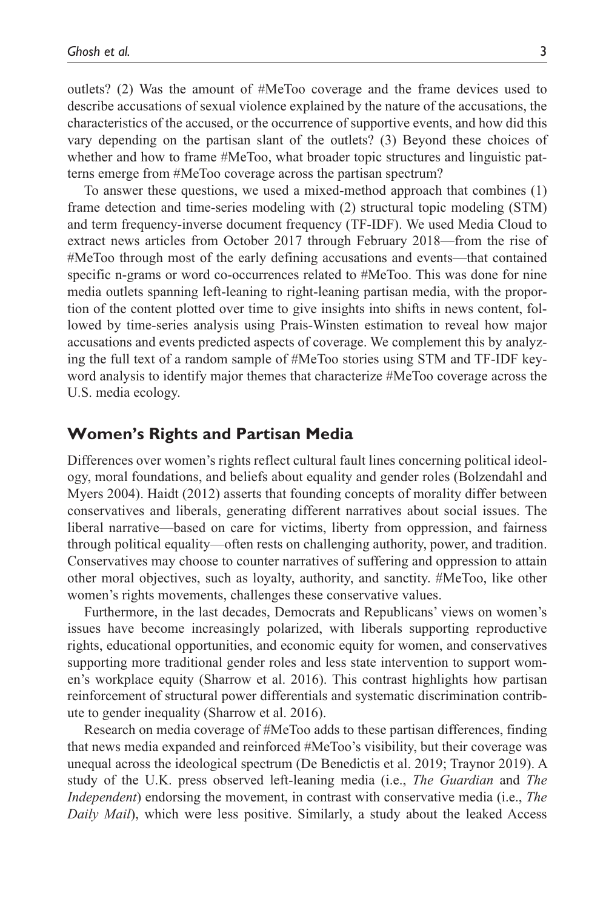outlets? (2) Was the amount of #MeToo coverage and the frame devices used to describe accusations of sexual violence explained by the nature of the accusations, the characteristics of the accused, or the occurrence of supportive events, and how did this vary depending on the partisan slant of the outlets? (3) Beyond these choices of whether and how to frame #MeToo, what broader topic structures and linguistic patterns emerge from #MeToo coverage across the partisan spectrum?

To answer these questions, we used a mixed-method approach that combines (1) frame detection and time-series modeling with (2) structural topic modeling (STM) and term frequency-inverse document frequency (TF-IDF). We used Media Cloud to extract news articles from October 2017 through February 2018—from the rise of #MeToo through most of the early defining accusations and events—that contained specific n-grams or word co-occurrences related to #MeToo. This was done for nine media outlets spanning left-leaning to right-leaning partisan media, with the proportion of the content plotted over time to give insights into shifts in news content, followed by time-series analysis using Prais-Winsten estimation to reveal how major accusations and events predicted aspects of coverage. We complement this by analyzing the full text of a random sample of #MeToo stories using STM and TF-IDF keyword analysis to identify major themes that characterize #MeToo coverage across the U.S. media ecology.

## **Women's Rights and Partisan Media**

Differences over women's rights reflect cultural fault lines concerning political ideology, moral foundations, and beliefs about equality and gender roles (Bolzendahl and Myers 2004). Haidt (2012) asserts that founding concepts of morality differ between conservatives and liberals, generating different narratives about social issues. The liberal narrative—based on care for victims, liberty from oppression, and fairness through political equality—often rests on challenging authority, power, and tradition. Conservatives may choose to counter narratives of suffering and oppression to attain other moral objectives, such as loyalty, authority, and sanctity. #MeToo, like other women's rights movements, challenges these conservative values.

Furthermore, in the last decades, Democrats and Republicans' views on women's issues have become increasingly polarized, with liberals supporting reproductive rights, educational opportunities, and economic equity for women, and conservatives supporting more traditional gender roles and less state intervention to support women's workplace equity (Sharrow et al. 2016). This contrast highlights how partisan reinforcement of structural power differentials and systematic discrimination contribute to gender inequality (Sharrow et al. 2016).

Research on media coverage of #MeToo adds to these partisan differences, finding that news media expanded and reinforced #MeToo's visibility, but their coverage was unequal across the ideological spectrum (De Benedictis et al. 2019; Traynor 2019). A study of the U.K. press observed left-leaning media (i.e., *The Guardian* and *The Independent*) endorsing the movement, in contrast with conservative media (i.e., *The Daily Mail*), which were less positive. Similarly, a study about the leaked Access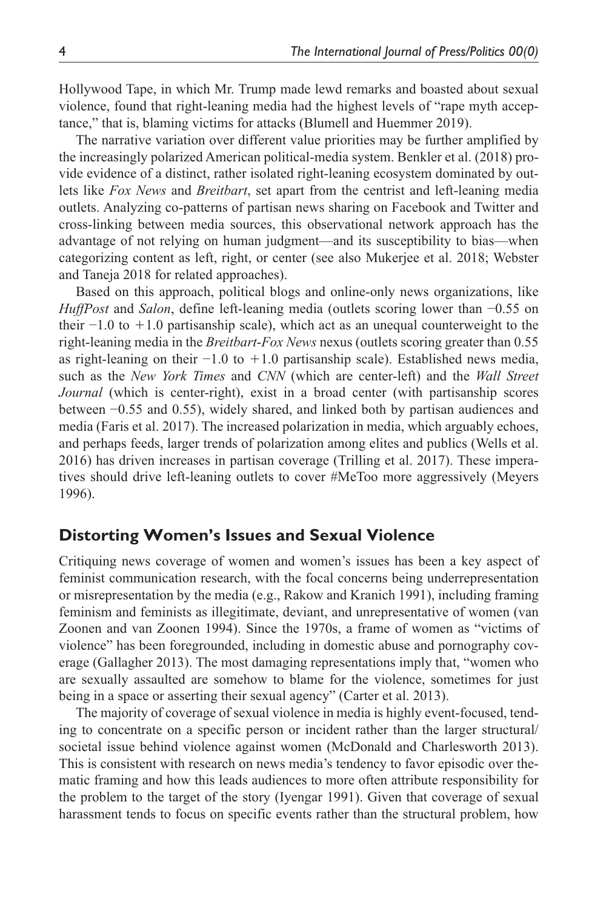Hollywood Tape, in which Mr. Trump made lewd remarks and boasted about sexual violence, found that right-leaning media had the highest levels of "rape myth acceptance," that is, blaming victims for attacks (Blumell and Huemmer 2019).

The narrative variation over different value priorities may be further amplified by the increasingly polarized American political-media system. Benkler et al. (2018) provide evidence of a distinct, rather isolated right-leaning ecosystem dominated by outlets like *Fox News* and *Breitbart*, set apart from the centrist and left-leaning media outlets. Analyzing co-patterns of partisan news sharing on Facebook and Twitter and cross-linking between media sources, this observational network approach has the advantage of not relying on human judgment—and its susceptibility to bias—when categorizing content as left, right, or center (see also Mukerjee et al. 2018; Webster and Taneja 2018 for related approaches).

Based on this approach, political blogs and online-only news organizations, like *HuffPost* and *Salon*, define left-leaning media (outlets scoring lower than −0.55 on their −1.0 to +1.0 partisanship scale), which act as an unequal counterweight to the right-leaning media in the *Breitbart*-*Fox News* nexus (outlets scoring greater than 0.55 as right-leaning on their −1.0 to +1.0 partisanship scale). Established news media, such as the *New York Times* and *CNN* (which are center-left) and the *Wall Street Journal* (which is center-right), exist in a broad center (with partisanship scores between −0.55 and 0.55), widely shared, and linked both by partisan audiences and media (Faris et al. 2017). The increased polarization in media, which arguably echoes, and perhaps feeds, larger trends of polarization among elites and publics (Wells et al. 2016) has driven increases in partisan coverage (Trilling et al. 2017). These imperatives should drive left-leaning outlets to cover #MeToo more aggressively (Meyers 1996).

## **Distorting Women's Issues and Sexual Violence**

Critiquing news coverage of women and women's issues has been a key aspect of feminist communication research, with the focal concerns being underrepresentation or misrepresentation by the media (e.g., Rakow and Kranich 1991), including framing feminism and feminists as illegitimate, deviant, and unrepresentative of women (van Zoonen and van Zoonen 1994). Since the 1970s, a frame of women as "victims of violence" has been foregrounded, including in domestic abuse and pornography coverage (Gallagher 2013). The most damaging representations imply that, "women who are sexually assaulted are somehow to blame for the violence, sometimes for just being in a space or asserting their sexual agency" (Carter et al. 2013).

The majority of coverage of sexual violence in media is highly event-focused, tending to concentrate on a specific person or incident rather than the larger structural/ societal issue behind violence against women (McDonald and Charlesworth 2013). This is consistent with research on news media's tendency to favor episodic over thematic framing and how this leads audiences to more often attribute responsibility for the problem to the target of the story (Iyengar 1991). Given that coverage of sexual harassment tends to focus on specific events rather than the structural problem, how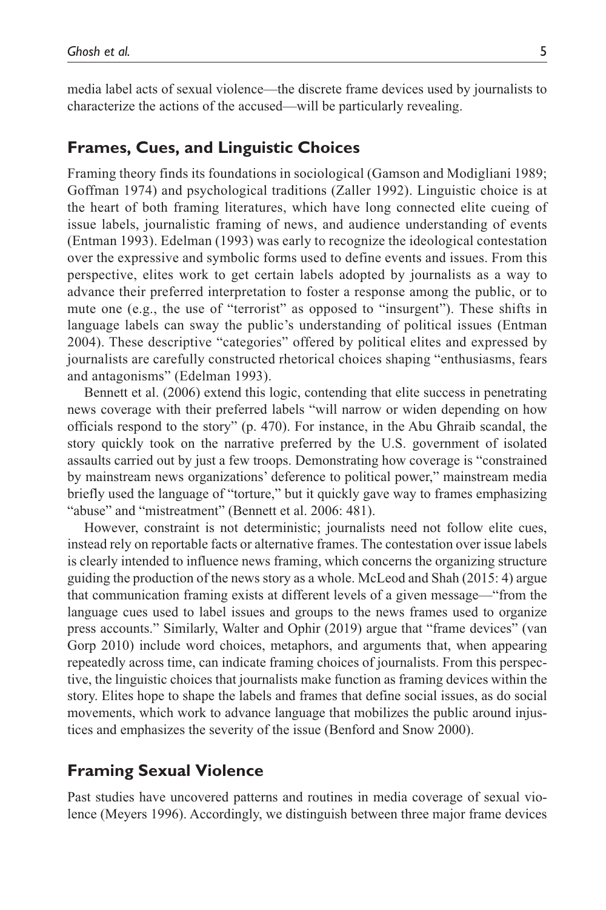media label acts of sexual violence—the discrete frame devices used by journalists to characterize the actions of the accused—will be particularly revealing.

## **Frames, Cues, and Linguistic Choices**

Framing theory finds its foundations in sociological (Gamson and Modigliani 1989; Goffman 1974) and psychological traditions (Zaller 1992). Linguistic choice is at the heart of both framing literatures, which have long connected elite cueing of issue labels, journalistic framing of news, and audience understanding of events (Entman 1993). Edelman (1993) was early to recognize the ideological contestation over the expressive and symbolic forms used to define events and issues. From this perspective, elites work to get certain labels adopted by journalists as a way to advance their preferred interpretation to foster a response among the public, or to mute one (e.g., the use of "terrorist" as opposed to "insurgent"). These shifts in language labels can sway the public's understanding of political issues (Entman 2004). These descriptive "categories" offered by political elites and expressed by journalists are carefully constructed rhetorical choices shaping "enthusiasms, fears and antagonisms" (Edelman 1993).

Bennett et al. (2006) extend this logic, contending that elite success in penetrating news coverage with their preferred labels "will narrow or widen depending on how officials respond to the story" (p. 470). For instance, in the Abu Ghraib scandal, the story quickly took on the narrative preferred by the U.S. government of isolated assaults carried out by just a few troops. Demonstrating how coverage is "constrained by mainstream news organizations' deference to political power," mainstream media briefly used the language of "torture," but it quickly gave way to frames emphasizing "abuse" and "mistreatment" (Bennett et al. 2006: 481).

However, constraint is not deterministic; journalists need not follow elite cues, instead rely on reportable facts or alternative frames. The contestation over issue labels is clearly intended to influence news framing, which concerns the organizing structure guiding the production of the news story as a whole. McLeod and Shah (2015: 4) argue that communication framing exists at different levels of a given message—"from the language cues used to label issues and groups to the news frames used to organize press accounts." Similarly, Walter and Ophir (2019) argue that "frame devices" (van Gorp 2010) include word choices, metaphors, and arguments that, when appearing repeatedly across time, can indicate framing choices of journalists. From this perspective, the linguistic choices that journalists make function as framing devices within the story. Elites hope to shape the labels and frames that define social issues, as do social movements, which work to advance language that mobilizes the public around injustices and emphasizes the severity of the issue (Benford and Snow 2000).

## **Framing Sexual Violence**

Past studies have uncovered patterns and routines in media coverage of sexual violence (Meyers 1996). Accordingly, we distinguish between three major frame devices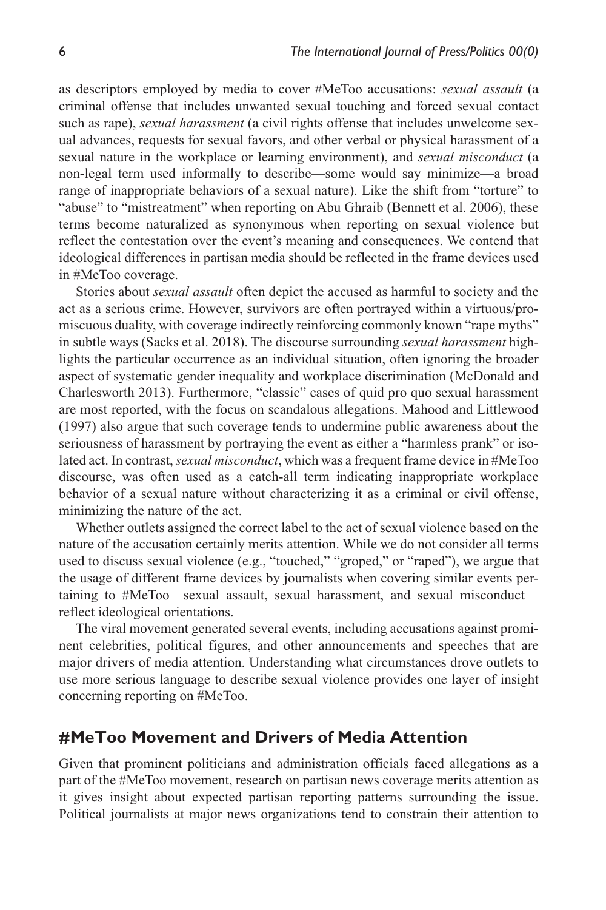as descriptors employed by media to cover #MeToo accusations: *sexual assault* (a criminal offense that includes unwanted sexual touching and forced sexual contact such as rape), *sexual harassment* (a civil rights offense that includes unwelcome sexual advances, requests for sexual favors, and other verbal or physical harassment of a sexual nature in the workplace or learning environment), and *sexual misconduct* (a non-legal term used informally to describe—some would say minimize—a broad range of inappropriate behaviors of a sexual nature). Like the shift from "torture" to "abuse" to "mistreatment" when reporting on Abu Ghraib (Bennett et al. 2006), these terms become naturalized as synonymous when reporting on sexual violence but reflect the contestation over the event's meaning and consequences. We contend that ideological differences in partisan media should be reflected in the frame devices used in #MeToo coverage.

Stories about *sexual assault* often depict the accused as harmful to society and the act as a serious crime. However, survivors are often portrayed within a virtuous/promiscuous duality, with coverage indirectly reinforcing commonly known "rape myths" in subtle ways (Sacks et al. 2018). The discourse surrounding *sexual harassment* highlights the particular occurrence as an individual situation, often ignoring the broader aspect of systematic gender inequality and workplace discrimination (McDonald and Charlesworth 2013). Furthermore, "classic" cases of quid pro quo sexual harassment are most reported, with the focus on scandalous allegations. Mahood and Littlewood (1997) also argue that such coverage tends to undermine public awareness about the seriousness of harassment by portraying the event as either a "harmless prank" or isolated act. In contrast, *sexual misconduct*, which was a frequent frame device in #MeToo discourse, was often used as a catch-all term indicating inappropriate workplace behavior of a sexual nature without characterizing it as a criminal or civil offense, minimizing the nature of the act.

Whether outlets assigned the correct label to the act of sexual violence based on the nature of the accusation certainly merits attention. While we do not consider all terms used to discuss sexual violence (e.g., "touched," "groped," or "raped"), we argue that the usage of different frame devices by journalists when covering similar events pertaining to #MeToo—sexual assault, sexual harassment, and sexual misconduct reflect ideological orientations.

The viral movement generated several events, including accusations against prominent celebrities, political figures, and other announcements and speeches that are major drivers of media attention. Understanding what circumstances drove outlets to use more serious language to describe sexual violence provides one layer of insight concerning reporting on #MeToo.

# **#MeToo Movement and Drivers of Media Attention**

Given that prominent politicians and administration officials faced allegations as a part of the #MeToo movement, research on partisan news coverage merits attention as it gives insight about expected partisan reporting patterns surrounding the issue. Political journalists at major news organizations tend to constrain their attention to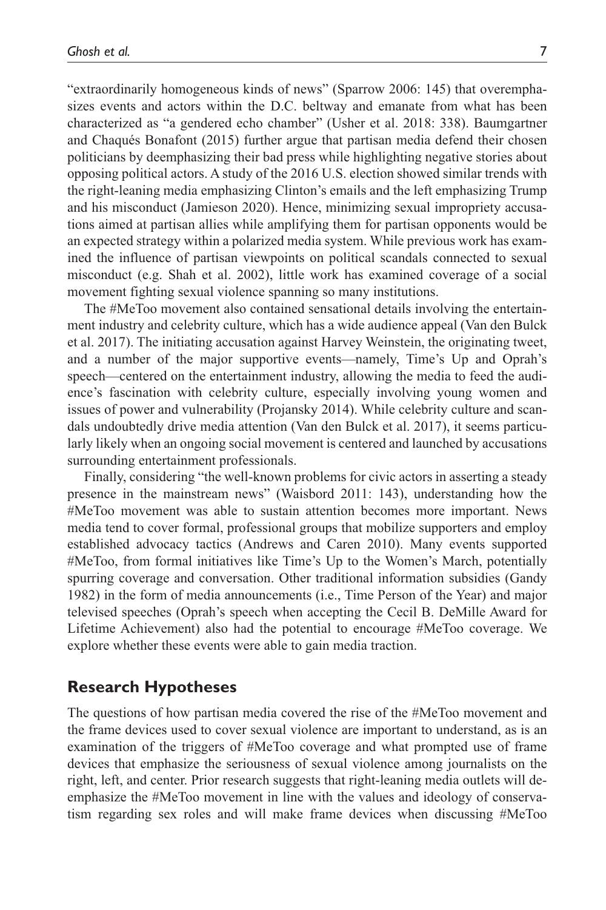"extraordinarily homogeneous kinds of news" (Sparrow 2006: 145) that overemphasizes events and actors within the D.C. beltway and emanate from what has been characterized as "a gendered echo chamber" (Usher et al. 2018: 338). Baumgartner and Chaqués Bonafont (2015) further argue that partisan media defend their chosen politicians by deemphasizing their bad press while highlighting negative stories about opposing political actors. A study of the 2016 U.S. election showed similar trends with the right-leaning media emphasizing Clinton's emails and the left emphasizing Trump and his misconduct (Jamieson 2020). Hence, minimizing sexual impropriety accusations aimed at partisan allies while amplifying them for partisan opponents would be an expected strategy within a polarized media system. While previous work has examined the influence of partisan viewpoints on political scandals connected to sexual misconduct (e.g. Shah et al. 2002), little work has examined coverage of a social movement fighting sexual violence spanning so many institutions.

The #MeToo movement also contained sensational details involving the entertainment industry and celebrity culture, which has a wide audience appeal (Van den Bulck et al. 2017). The initiating accusation against Harvey Weinstein, the originating tweet, and a number of the major supportive events—namely, Time's Up and Oprah's speech—centered on the entertainment industry, allowing the media to feed the audience's fascination with celebrity culture, especially involving young women and issues of power and vulnerability (Projansky 2014). While celebrity culture and scandals undoubtedly drive media attention (Van den Bulck et al. 2017), it seems particularly likely when an ongoing social movement is centered and launched by accusations surrounding entertainment professionals.

Finally, considering "the well-known problems for civic actors in asserting a steady presence in the mainstream news" (Waisbord 2011: 143), understanding how the #MeToo movement was able to sustain attention becomes more important. News media tend to cover formal, professional groups that mobilize supporters and employ established advocacy tactics (Andrews and Caren 2010). Many events supported #MeToo, from formal initiatives like Time's Up to the Women's March, potentially spurring coverage and conversation. Other traditional information subsidies (Gandy 1982) in the form of media announcements (i.e., Time Person of the Year) and major televised speeches (Oprah's speech when accepting the Cecil B. DeMille Award for Lifetime Achievement) also had the potential to encourage #MeToo coverage. We explore whether these events were able to gain media traction.

## **Research Hypotheses**

The questions of how partisan media covered the rise of the #MeToo movement and the frame devices used to cover sexual violence are important to understand, as is an examination of the triggers of #MeToo coverage and what prompted use of frame devices that emphasize the seriousness of sexual violence among journalists on the right, left, and center. Prior research suggests that right-leaning media outlets will deemphasize the #MeToo movement in line with the values and ideology of conservatism regarding sex roles and will make frame devices when discussing #MeToo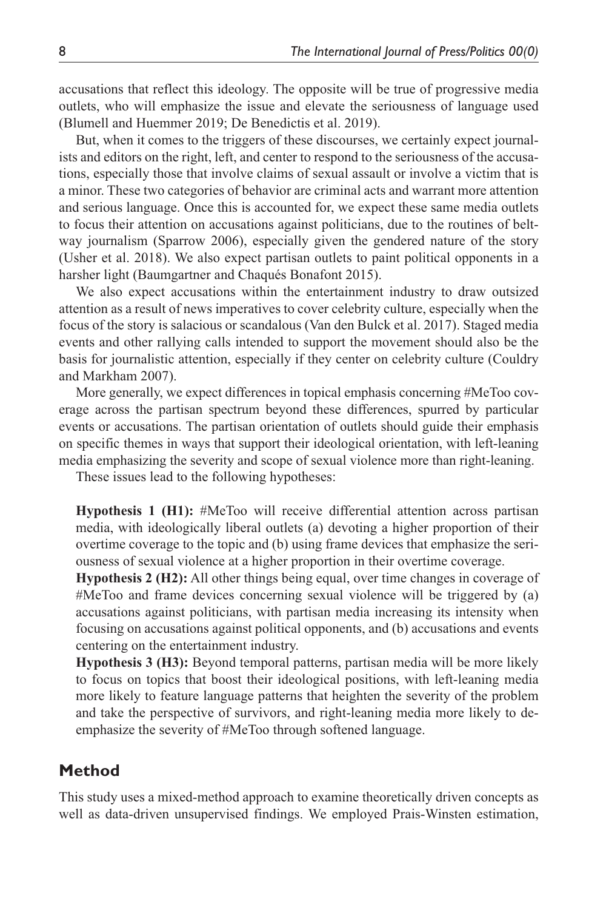accusations that reflect this ideology. The opposite will be true of progressive media outlets, who will emphasize the issue and elevate the seriousness of language used (Blumell and Huemmer 2019; De Benedictis et al. 2019).

But, when it comes to the triggers of these discourses, we certainly expect journalists and editors on the right, left, and center to respond to the seriousness of the accusations, especially those that involve claims of sexual assault or involve a victim that is a minor. These two categories of behavior are criminal acts and warrant more attention and serious language. Once this is accounted for, we expect these same media outlets to focus their attention on accusations against politicians, due to the routines of beltway journalism (Sparrow 2006), especially given the gendered nature of the story (Usher et al. 2018). We also expect partisan outlets to paint political opponents in a harsher light (Baumgartner and Chaqués Bonafont 2015).

We also expect accusations within the entertainment industry to draw outsized attention as a result of news imperatives to cover celebrity culture, especially when the focus of the story is salacious or scandalous (Van den Bulck et al. 2017). Staged media events and other rallying calls intended to support the movement should also be the basis for journalistic attention, especially if they center on celebrity culture (Couldry and Markham 2007).

More generally, we expect differences in topical emphasis concerning #MeToo coverage across the partisan spectrum beyond these differences, spurred by particular events or accusations. The partisan orientation of outlets should guide their emphasis on specific themes in ways that support their ideological orientation, with left-leaning media emphasizing the severity and scope of sexual violence more than right-leaning.

These issues lead to the following hypotheses:

**Hypothesis 1 (H1):** #MeToo will receive differential attention across partisan media, with ideologically liberal outlets (a) devoting a higher proportion of their overtime coverage to the topic and (b) using frame devices that emphasize the seriousness of sexual violence at a higher proportion in their overtime coverage.

**Hypothesis 2 (H2):** All other things being equal, over time changes in coverage of #MeToo and frame devices concerning sexual violence will be triggered by (a) accusations against politicians, with partisan media increasing its intensity when focusing on accusations against political opponents, and (b) accusations and events centering on the entertainment industry.

**Hypothesis 3 (H3):** Beyond temporal patterns, partisan media will be more likely to focus on topics that boost their ideological positions, with left-leaning media more likely to feature language patterns that heighten the severity of the problem and take the perspective of survivors, and right-leaning media more likely to deemphasize the severity of #MeToo through softened language.

# **Method**

This study uses a mixed-method approach to examine theoretically driven concepts as well as data-driven unsupervised findings. We employed Prais-Winsten estimation,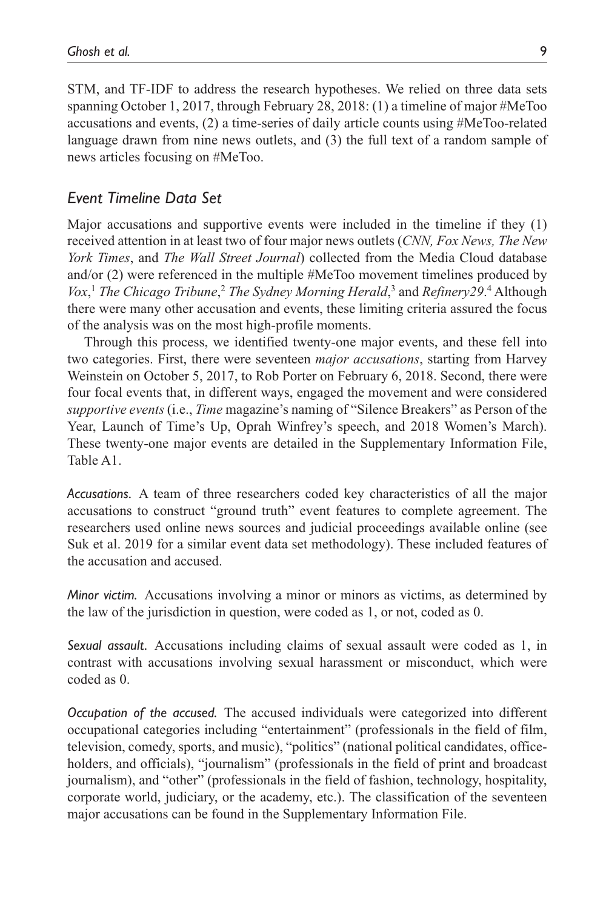STM, and TF-IDF to address the research hypotheses. We relied on three data sets spanning October 1, 2017, through February 28, 2018: (1) a timeline of major #MeToo accusations and events, (2) a time-series of daily article counts using #MeToo-related language drawn from nine news outlets, and (3) the full text of a random sample of news articles focusing on #MeToo.

## *Event Timeline Data Set*

Major accusations and supportive events were included in the timeline if they (1) received attention in at least two of four major news outlets (*CNN, Fox News, The New York Times*, and *The Wall Street Journal*) collected from the Media Cloud database and/or (2) were referenced in the multiple #MeToo movement timelines produced by Vox,<sup>1</sup> The Chicago Tribune,<sup>2</sup> The Sydney Morning Herald,<sup>3</sup> and Refinery29.<sup>4</sup> Although there were many other accusation and events, these limiting criteria assured the focus of the analysis was on the most high-profile moments.

Through this process, we identified twenty-one major events, and these fell into two categories. First, there were seventeen *major accusations*, starting from Harvey Weinstein on October 5, 2017, to Rob Porter on February 6, 2018. Second, there were four focal events that, in different ways, engaged the movement and were considered *supportive events* (i.e., *Time* magazine's naming of "Silence Breakers" as Person of the Year, Launch of Time's Up, Oprah Winfrey's speech, and 2018 Women's March). These twenty-one major events are detailed in the Supplementary Information File, Table A1.

*Accusations.* A team of three researchers coded key characteristics of all the major accusations to construct "ground truth" event features to complete agreement. The researchers used online news sources and judicial proceedings available online (see Suk et al. 2019 for a similar event data set methodology). These included features of the accusation and accused.

*Minor victim.* Accusations involving a minor or minors as victims, as determined by the law of the jurisdiction in question, were coded as 1, or not, coded as 0.

*Sexual assault.* Accusations including claims of sexual assault were coded as 1, in contrast with accusations involving sexual harassment or misconduct, which were coded as 0.

*Occupation of the accused.* The accused individuals were categorized into different occupational categories including "entertainment" (professionals in the field of film, television, comedy, sports, and music), "politics" (national political candidates, officeholders, and officials), "journalism" (professionals in the field of print and broadcast journalism), and "other" (professionals in the field of fashion, technology, hospitality, corporate world, judiciary, or the academy, etc.). The classification of the seventeen major accusations can be found in the Supplementary Information File.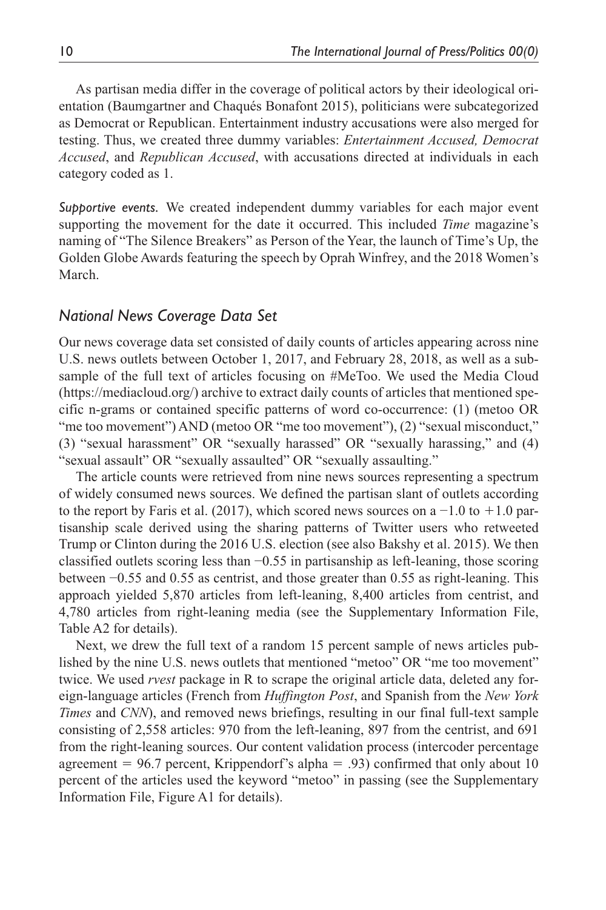As partisan media differ in the coverage of political actors by their ideological orientation (Baumgartner and Chaqués Bonafont 2015), politicians were subcategorized as Democrat or Republican. Entertainment industry accusations were also merged for testing. Thus, we created three dummy variables: *Entertainment Accused, Democrat Accused*, and *Republican Accused*, with accusations directed at individuals in each category coded as 1.

*Supportive events.* We created independent dummy variables for each major event supporting the movement for the date it occurred. This included *Time* magazine's naming of "The Silence Breakers" as Person of the Year, the launch of Time's Up, the Golden Globe Awards featuring the speech by Oprah Winfrey, and the 2018 Women's March.

### *National News Coverage Data Set*

Our news coverage data set consisted of daily counts of articles appearing across nine U.S. news outlets between October 1, 2017, and February 28, 2018, as well as a subsample of the full text of articles focusing on #MeToo. We used the Media Cloud [\(https://mediacloud.org/](https://mediacloud.org/)) archive to extract daily counts of articles that mentioned specific n-grams or contained specific patterns of word co-occurrence: (1) (metoo OR "me too movement") AND (metoo OR "me too movement"), (2) "sexual misconduct," (3) "sexual harassment" OR "sexually harassed" OR "sexually harassing," and (4) "sexual assault" OR "sexually assaulted" OR "sexually assaulting."

The article counts were retrieved from nine news sources representing a spectrum of widely consumed news sources. We defined the partisan slant of outlets according to the report by Faris et al. (2017), which scored news sources on a  $-1.0$  to  $+1.0$  partisanship scale derived using the sharing patterns of Twitter users who retweeted Trump or Clinton during the 2016 U.S. election (see also Bakshy et al. 2015). We then classified outlets scoring less than −0.55 in partisanship as left-leaning, those scoring between −0.55 and 0.55 as centrist, and those greater than 0.55 as right-leaning. This approach yielded 5,870 articles from left-leaning, 8,400 articles from centrist, and 4,780 articles from right-leaning media (see the Supplementary Information File, Table A2 for details).

Next, we drew the full text of a random 15 percent sample of news articles published by the nine U.S. news outlets that mentioned "metoo" OR "me too movement" twice. We used *rvest* package in R to scrape the original article data, deleted any foreign-language articles (French from *Huffington Post*, and Spanish from the *New York Times* and *CNN*), and removed news briefings, resulting in our final full-text sample consisting of 2,558 articles: 970 from the left-leaning, 897 from the centrist, and 691 from the right-leaning sources. Our content validation process (intercoder percentage agreement =  $96.7$  percent, Krippendorf's alpha = .93) confirmed that only about 10 percent of the articles used the keyword "metoo" in passing (see the Supplementary Information File, Figure A1 for details).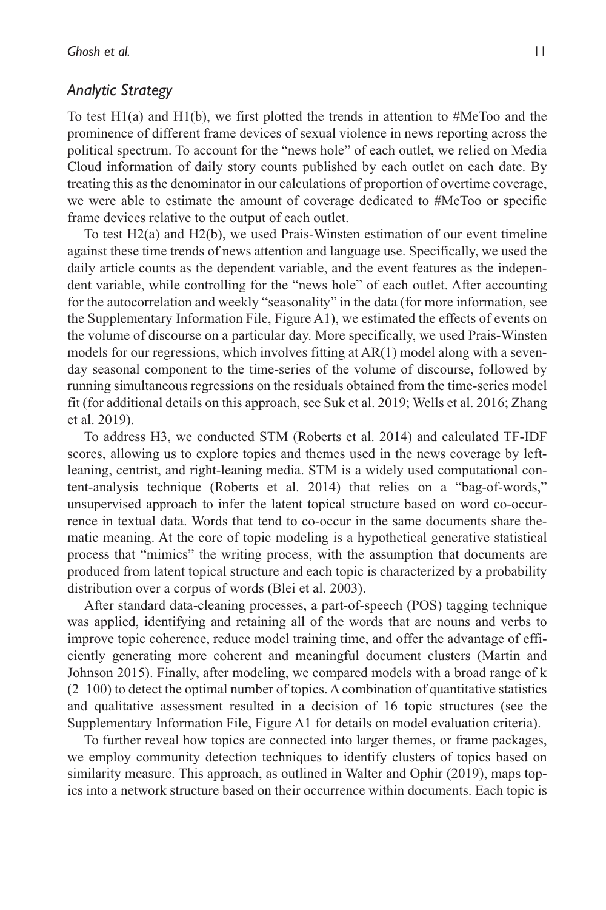### *Analytic Strategy*

To test  $H1(a)$  and  $H1(b)$ , we first plotted the trends in attention to #MeToo and the prominence of different frame devices of sexual violence in news reporting across the political spectrum. To account for the "news hole" of each outlet, we relied on Media Cloud information of daily story counts published by each outlet on each date. By treating this as the denominator in our calculations of proportion of overtime coverage, we were able to estimate the amount of coverage dedicated to #MeToo or specific frame devices relative to the output of each outlet.

To test H2(a) and H2(b), we used Prais-Winsten estimation of our event timeline against these time trends of news attention and language use. Specifically, we used the daily article counts as the dependent variable, and the event features as the independent variable, while controlling for the "news hole" of each outlet. After accounting for the autocorrelation and weekly "seasonality" in the data (for more information, see the Supplementary Information File, Figure A1), we estimated the effects of events on the volume of discourse on a particular day. More specifically, we used Prais-Winsten models for our regressions, which involves fitting at AR(1) model along with a sevenday seasonal component to the time-series of the volume of discourse, followed by running simultaneous regressions on the residuals obtained from the time-series model fit (for additional details on this approach, see Suk et al. 2019; Wells et al. 2016; Zhang et al. 2019).

To address H3, we conducted STM (Roberts et al. 2014) and calculated TF-IDF scores, allowing us to explore topics and themes used in the news coverage by leftleaning, centrist, and right-leaning media. STM is a widely used computational content-analysis technique (Roberts et al. 2014) that relies on a "bag-of-words," unsupervised approach to infer the latent topical structure based on word co-occurrence in textual data. Words that tend to co-occur in the same documents share thematic meaning. At the core of topic modeling is a hypothetical generative statistical process that "mimics" the writing process, with the assumption that documents are produced from latent topical structure and each topic is characterized by a probability distribution over a corpus of words (Blei et al. 2003).

After standard data-cleaning processes, a part-of-speech (POS) tagging technique was applied, identifying and retaining all of the words that are nouns and verbs to improve topic coherence, reduce model training time, and offer the advantage of efficiently generating more coherent and meaningful document clusters (Martin and Johnson 2015). Finally, after modeling, we compared models with a broad range of k  $(2-100)$  to detect the optimal number of topics. A combination of quantitative statistics and qualitative assessment resulted in a decision of 16 topic structures (see the Supplementary Information File, Figure A1 for details on model evaluation criteria).

To further reveal how topics are connected into larger themes, or frame packages, we employ community detection techniques to identify clusters of topics based on similarity measure. This approach, as outlined in Walter and Ophir (2019), maps topics into a network structure based on their occurrence within documents. Each topic is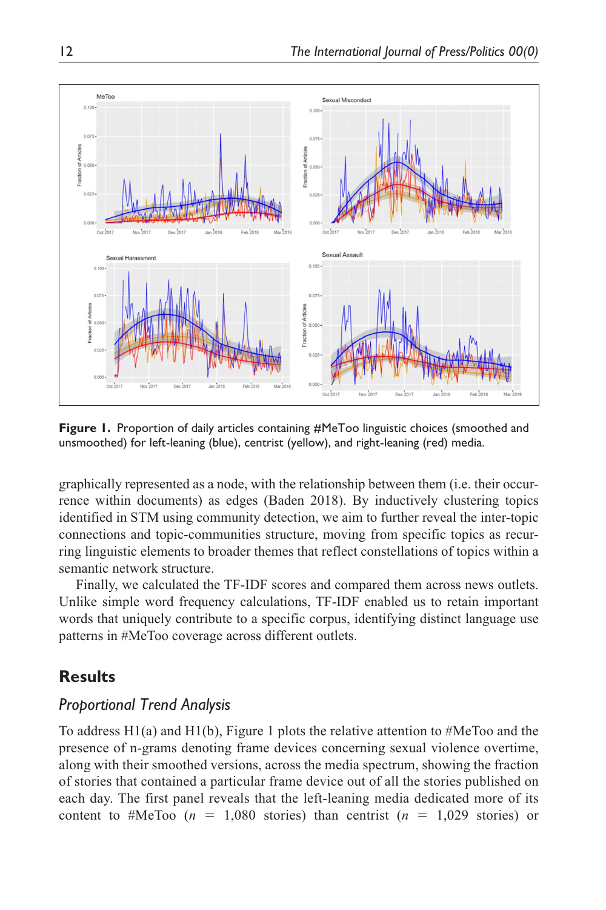

**Figure 1.** Proportion of daily articles containing #MeToo linguistic choices (smoothed and unsmoothed) for left-leaning (blue), centrist (yellow), and right-leaning (red) media.

graphically represented as a node, with the relationship between them (i.e. their occurrence within documents) as edges (Baden 2018). By inductively clustering topics identified in STM using community detection, we aim to further reveal the inter-topic connections and topic-communities structure, moving from specific topics as recurring linguistic elements to broader themes that reflect constellations of topics within a semantic network structure.

Finally, we calculated the TF-IDF scores and compared them across news outlets. Unlike simple word frequency calculations, TF-IDF enabled us to retain important words that uniquely contribute to a specific corpus, identifying distinct language use patterns in #MeToo coverage across different outlets.

# **Results**

# *Proportional Trend Analysis*

To address  $H1(a)$  and  $H1(b)$ , Figure 1 plots the relative attention to #MeToo and the presence of n-grams denoting frame devices concerning sexual violence overtime, along with their smoothed versions, across the media spectrum, showing the fraction of stories that contained a particular frame device out of all the stories published on each day. The first panel reveals that the left-leaning media dedicated more of its content to #MeToo  $(n = 1,080$  stories) than centrist  $(n = 1,029$  stories) or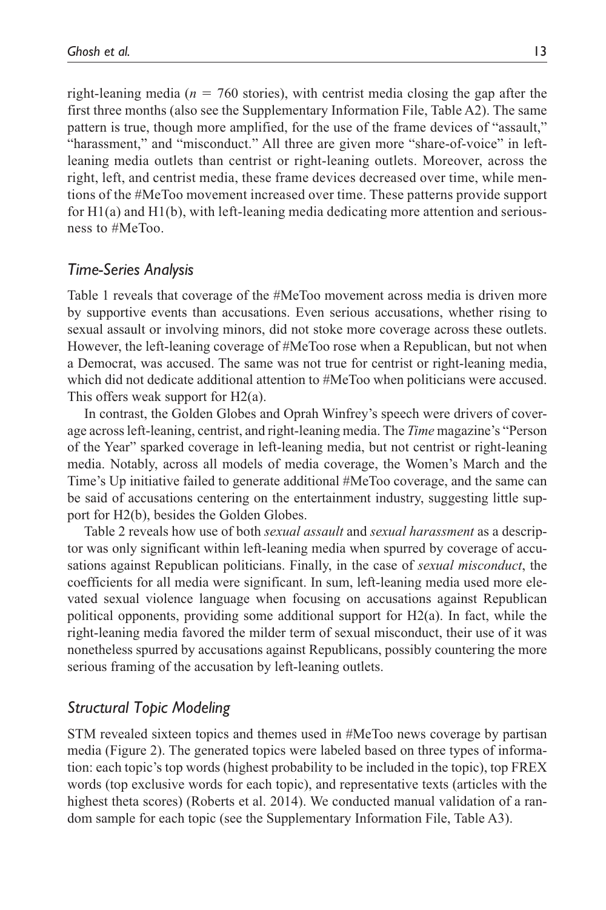right-leaning media ( $n = 760$  stories), with centrist media closing the gap after the first three months (also see the Supplementary Information File, Table A2). The same pattern is true, though more amplified, for the use of the frame devices of "assault," "harassment," and "misconduct." All three are given more "share-of-voice" in leftleaning media outlets than centrist or right-leaning outlets. Moreover, across the right, left, and centrist media, these frame devices decreased over time, while mentions of the #MeToo movement increased over time. These patterns provide support for  $H1(a)$  and  $H1(b)$ , with left-leaning media dedicating more attention and seriousness to #MeToo.

### *Time-Series Analysis*

Table 1 reveals that coverage of the #MeToo movement across media is driven more by supportive events than accusations. Even serious accusations, whether rising to sexual assault or involving minors, did not stoke more coverage across these outlets. However, the left-leaning coverage of #MeToo rose when a Republican, but not when a Democrat, was accused. The same was not true for centrist or right-leaning media, which did not dedicate additional attention to #MeToo when politicians were accused. This offers weak support for H2(a).

In contrast, the Golden Globes and Oprah Winfrey's speech were drivers of coverage across left-leaning, centrist, and right-leaning media. The *Time* magazine's "Person of the Year" sparked coverage in left-leaning media, but not centrist or right-leaning media. Notably, across all models of media coverage, the Women's March and the Time's Up initiative failed to generate additional #MeToo coverage, and the same can be said of accusations centering on the entertainment industry, suggesting little support for H2(b), besides the Golden Globes.

Table 2 reveals how use of both *sexual assault* and *sexual harassment* as a descriptor was only significant within left-leaning media when spurred by coverage of accusations against Republican politicians. Finally, in the case of *sexual misconduct*, the coefficients for all media were significant. In sum, left-leaning media used more elevated sexual violence language when focusing on accusations against Republican political opponents, providing some additional support for H2(a). In fact, while the right-leaning media favored the milder term of sexual misconduct, their use of it was nonetheless spurred by accusations against Republicans, possibly countering the more serious framing of the accusation by left-leaning outlets.

## *Structural Topic Modeling*

STM revealed sixteen topics and themes used in #MeToo news coverage by partisan media (Figure 2). The generated topics were labeled based on three types of information: each topic's top words (highest probability to be included in the topic), top FREX words (top exclusive words for each topic), and representative texts (articles with the highest theta scores) (Roberts et al. 2014). We conducted manual validation of a random sample for each topic (see the Supplementary Information File, Table A3).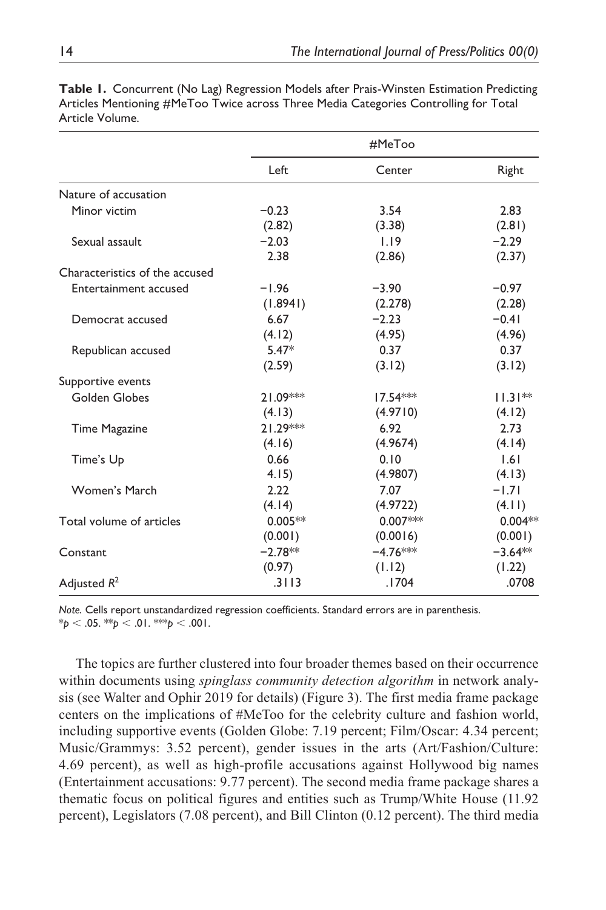|                                |            | #MeToo     |            |
|--------------------------------|------------|------------|------------|
|                                | Left       | Center     | Right      |
| Nature of accusation           |            |            |            |
| Minor victim                   | $-0.23$    | 3.54       | 2.83       |
|                                | (2.82)     | (3.38)     | (2.81)     |
| Sexual assault                 | $-2.03$    | 1.19       | $-2.29$    |
|                                | 2.38       | (2.86)     | (2.37)     |
| Characteristics of the accused |            |            |            |
| Entertainment accused          | $-1.96$    | $-3.90$    | $-0.97$    |
|                                | (1.8941)   | (2.278)    | (2.28)     |
| Democrat accused               | 6.67       | $-2.23$    | $-0.41$    |
|                                | (4.12)     | (4.95)     | (4.96)     |
| Republican accused             | $5.47*$    | 0.37       | 0.37       |
|                                | (2.59)     | (3.12)     | (3.12)     |
| Supportive events              |            |            |            |
| Golden Globes                  | $21.09***$ | $17.54***$ | $11.31**$  |
|                                | (4.13)     | (4.9710)   | (4.12)     |
| <b>Time Magazine</b>           | $21.29***$ | 6.92       | 2.73       |
|                                | (4.16)     | (4.9674)   | (4.14)     |
| Time's Up                      | 0.66       | 0.10       | 1.61       |
|                                | 4.15)      | (4.9807)   | (4.13)     |
| Women's March                  | 2.22       | 7.07       | $-1.71$    |
|                                | (4.14)     | (4.9722)   | (4.11)     |
| Total volume of articles       | $0.005**$  | 0.007***   | $0.004**$  |
|                                | (0.001)    | (0.0016)   | (0.001)    |
| Constant                       | $-2.78**$  | $-4.76***$ | $-3.64***$ |
|                                | (0.97)     | (1.12)     | (1.22)     |
| Adjusted $R^2$                 | .3113      | .1704      | .0708      |

**Table 1.** Concurrent (No Lag) Regression Models after Prais-Winsten Estimation Predicting Articles Mentioning #MeToo Twice across Three Media Categories Controlling for Total Article Volume.

*Note.* Cells report unstandardized regression coefficients. Standard errors are in parenthesis.  $*_{p}$  < .05.  $*_{p}$  < .01.  $*_{p}$  < .001.

The topics are further clustered into four broader themes based on their occurrence within documents using *spinglass community detection algorithm* in network analysis (see Walter and Ophir 2019 for details) (Figure 3). The first media frame package centers on the implications of #MeToo for the celebrity culture and fashion world, including supportive events (Golden Globe: 7.19 percent; Film/Oscar: 4.34 percent; Music/Grammys: 3.52 percent), gender issues in the arts (Art/Fashion/Culture: 4.69 percent), as well as high-profile accusations against Hollywood big names (Entertainment accusations: 9.77 percent). The second media frame package shares a thematic focus on political figures and entities such as Trump/White House (11.92 percent), Legislators (7.08 percent), and Bill Clinton (0.12 percent). The third media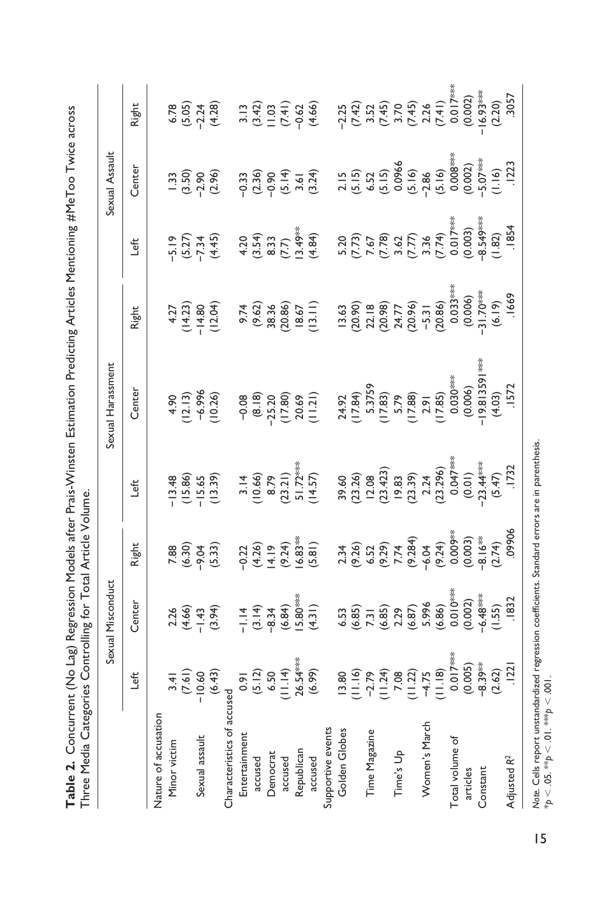| Three Media Categories Controlling for Total Article Volume.<br>Table 2. |                                                               |                                                                                                                                            |                                   |                                                                                                                                                  | Concurrent (No Lag) Regression Models after Prais-Winsten Estimation Predicting Articles Mentioning #MeToo Twice across |                                                                                                                                                                                                                                                                                                             |                                                                                                                                                                                                                                                                                                               |                                                                                                                                                                                                                                                                                                               |                                                                       |
|--------------------------------------------------------------------------|---------------------------------------------------------------|--------------------------------------------------------------------------------------------------------------------------------------------|-----------------------------------|--------------------------------------------------------------------------------------------------------------------------------------------------|-------------------------------------------------------------------------------------------------------------------------|-------------------------------------------------------------------------------------------------------------------------------------------------------------------------------------------------------------------------------------------------------------------------------------------------------------|---------------------------------------------------------------------------------------------------------------------------------------------------------------------------------------------------------------------------------------------------------------------------------------------------------------|---------------------------------------------------------------------------------------------------------------------------------------------------------------------------------------------------------------------------------------------------------------------------------------------------------------|-----------------------------------------------------------------------|
|                                                                          |                                                               | Sexual Misconduct                                                                                                                          |                                   |                                                                                                                                                  | Sexual Harassment                                                                                                       |                                                                                                                                                                                                                                                                                                             |                                                                                                                                                                                                                                                                                                               | Sexual Assault                                                                                                                                                                                                                                                                                                |                                                                       |
|                                                                          | Left                                                          | Center                                                                                                                                     | Right                             | Left                                                                                                                                             | Center                                                                                                                  | <b>Right</b>                                                                                                                                                                                                                                                                                                | Left                                                                                                                                                                                                                                                                                                          | Center                                                                                                                                                                                                                                                                                                        | Right                                                                 |
| Nature of accusation                                                     |                                                               |                                                                                                                                            |                                   |                                                                                                                                                  |                                                                                                                         |                                                                                                                                                                                                                                                                                                             |                                                                                                                                                                                                                                                                                                               |                                                                                                                                                                                                                                                                                                               |                                                                       |
| Minor victim                                                             |                                                               | 2.26                                                                                                                                       | 7.88                              | $-13.48$                                                                                                                                         | 4.90                                                                                                                    |                                                                                                                                                                                                                                                                                                             | 5.19                                                                                                                                                                                                                                                                                                          |                                                                                                                                                                                                                                                                                                               |                                                                       |
|                                                                          | $3.41$<br>$(7.61)$<br>$(0.60)$<br>$(6.43)$                    |                                                                                                                                            | $(6.30)$<br>$9.04$<br>$(5.33)$    | $(15.86)$<br>$-15.65$<br>$(13.39)$                                                                                                               | (12.13)                                                                                                                 | (14.27)                                                                                                                                                                                                                                                                                                     | $(5.27)$<br>$7.34$<br>$(4.45)$                                                                                                                                                                                                                                                                                | $13,90$<br>$13,90$<br>$2,90$<br>$2,90$                                                                                                                                                                                                                                                                        | 8<br>8<br>9<br>9 7 8<br>9 9 8<br>9 9 8                                |
| Sexual assault                                                           |                                                               |                                                                                                                                            |                                   |                                                                                                                                                  |                                                                                                                         |                                                                                                                                                                                                                                                                                                             |                                                                                                                                                                                                                                                                                                               |                                                                                                                                                                                                                                                                                                               |                                                                       |
|                                                                          |                                                               | $(4.66)$<br>$-1.43$<br>$(3.94)$                                                                                                            |                                   |                                                                                                                                                  | $-6.996$<br>$(10.26)$                                                                                                   | $-14.80$<br>(12.04)                                                                                                                                                                                                                                                                                         |                                                                                                                                                                                                                                                                                                               |                                                                                                                                                                                                                                                                                                               |                                                                       |
| Characteristics of                                                       |                                                               |                                                                                                                                            |                                   |                                                                                                                                                  |                                                                                                                         |                                                                                                                                                                                                                                                                                                             |                                                                                                                                                                                                                                                                                                               |                                                                                                                                                                                                                                                                                                               |                                                                       |
| Entertainment                                                            | 0.91                                                          | $-1.14$                                                                                                                                    |                                   |                                                                                                                                                  | $-0.08$                                                                                                                 | 9.74                                                                                                                                                                                                                                                                                                        |                                                                                                                                                                                                                                                                                                               |                                                                                                                                                                                                                                                                                                               |                                                                       |
| accused                                                                  | $(5.12)$<br>6.50                                              | $(3.14)$<br>$-8.34$                                                                                                                        | $-0.22$<br>$(4.26)$<br>$(4.19)$   |                                                                                                                                                  | $(8.18)$<br>$25.20$                                                                                                     | $(9.62)$<br>38.36                                                                                                                                                                                                                                                                                           | $4.20$<br>$4.54$<br>$8.33$                                                                                                                                                                                                                                                                                    | $7.33$<br>$7.36$<br>$7.36$<br>$7.4$<br>$7.54$<br>$7.4$<br>$7.54$<br>$7.54$<br>$7.54$                                                                                                                                                                                                                          |                                                                       |
| Democrat                                                                 |                                                               |                                                                                                                                            |                                   |                                                                                                                                                  |                                                                                                                         |                                                                                                                                                                                                                                                                                                             |                                                                                                                                                                                                                                                                                                               |                                                                                                                                                                                                                                                                                                               |                                                                       |
| accused                                                                  | $(11.14)$<br>26.54***                                         | $(6.84)$<br>15.80***                                                                                                                       | $(9.24)$<br>$(6.83**$<br>$(5.81)$ |                                                                                                                                                  | $(17.80)$<br>$20.69$<br>$(11.21)$                                                                                       | (20.86)                                                                                                                                                                                                                                                                                                     | $(7.7)$<br>3.49 <sup>\$43</sup>                                                                                                                                                                                                                                                                               |                                                                                                                                                                                                                                                                                                               |                                                                       |
| Republican                                                               |                                                               |                                                                                                                                            |                                   |                                                                                                                                                  |                                                                                                                         | $\frac{18.67}{13.11}$                                                                                                                                                                                                                                                                                       |                                                                                                                                                                                                                                                                                                               |                                                                                                                                                                                                                                                                                                               |                                                                       |
| accused                                                                  | (6.99)                                                        | (4.31)                                                                                                                                     |                                   | $3.14$<br>$(10.66)$<br>$8.79$<br>$(23.21)$<br>$51.72***$<br>$(14.57)$                                                                            |                                                                                                                         |                                                                                                                                                                                                                                                                                                             | (4.84)                                                                                                                                                                                                                                                                                                        |                                                                                                                                                                                                                                                                                                               | $\begin{array}{c} 3.13 \\ 1.42 \\ 2.63 \\ -0.64 \\ -0.66 \end{array}$ |
| Supportive events                                                        |                                                               |                                                                                                                                            |                                   |                                                                                                                                                  |                                                                                                                         |                                                                                                                                                                                                                                                                                                             |                                                                                                                                                                                                                                                                                                               |                                                                                                                                                                                                                                                                                                               |                                                                       |
| Golden Globes                                                            | 13.80                                                         | 6.53                                                                                                                                       |                                   |                                                                                                                                                  |                                                                                                                         |                                                                                                                                                                                                                                                                                                             |                                                                                                                                                                                                                                                                                                               |                                                                                                                                                                                                                                                                                                               |                                                                       |
|                                                                          |                                                               |                                                                                                                                            |                                   |                                                                                                                                                  |                                                                                                                         |                                                                                                                                                                                                                                                                                                             |                                                                                                                                                                                                                                                                                                               |                                                                                                                                                                                                                                                                                                               |                                                                       |
| Time Magazine                                                            |                                                               |                                                                                                                                            |                                   |                                                                                                                                                  |                                                                                                                         |                                                                                                                                                                                                                                                                                                             |                                                                                                                                                                                                                                                                                                               |                                                                                                                                                                                                                                                                                                               |                                                                       |
|                                                                          | $11.16$<br>$-2.79$<br>$-1.24$<br>$7.08$<br>$-1.22$<br>$-4.75$ | $(6.85)$<br>$7.31$<br>$(6.85)$<br>$(6.87)$<br>$(6.87)$<br>$5.996$<br>$0.010$ <sup>3+4</sup><br>$0.002$<br>$0.002$<br>$0.48$ <sup>+4+</sup> |                                   | $39.60$<br>$(23.26)$<br>$(23.423)$<br>$(23.423)$<br>$(23.423)$<br>$(23.39)$<br>$(23.39)$<br>$(23.296)$<br>$(23.296)$<br>$(23.296)$<br>$(23.296)$ | $24.92$<br>$(17.84)$<br>$(5.3759)$<br>$(17.83)$<br>$(17.83)$<br>$(17.85)$<br>$(17.85)$<br>$(17.85)$<br>$(17.85)$        | $\begin{array}{l} 1.63 \\ 20.90 \\ 21.18 \\ 22.18 \\ 23.7 \\ 24.7 \\ 25.8 \\ 26.8 \\ 27.7 \\ 28.8 \\ 29.8 \\ 20.8 \\ 23.3 \\ 24.8 \\ 25.3 \\ 26.8 \\ 27.8 \\ 28.3 \\ 29.8 \\ 20.03 \\ 23.3 \\ 24.8 \\ 25.0 \\ 28.3 \\ 29.8 \\ 29.8 \\ 20.0 \\ 20.0 \\ 23.3 \\ 24.8 \\ 25.0 \\ 26.0 \\ 27.0 \\ 28.0 \\ 29.0$ | $\begin{array}{l} 5.20 \\ 5.73 \\ 7.73 \\ 7.67 \\ 8.24 \\ 7.78 \\ 7.79 \\ 8.24 \\ 7.79 \\ 1.74 \\ 1.74 \\ 1.74 \\ 1.74 \\ 1.75 \\ 1.74 \\ 1.74 \\ 1.75 \\ 1.74 \\ 1.74 \\ 1.75 \\ 1.74 \\ 1.75 \\ 1.74 \\ 1.75 \\ 1.74 \\ 1.75 \\ 1.75 \\ 1.76 \\ 1.77 \\ 1.78 \\ 1.77 \\ 1.78 \\ 1.79 \\ 1.79 \\ 1.78 \\ 1.$ | $\begin{array}{l} 1.5 \\ 7.15 \\ 7.15 \\ 8.52 \\ 9.66 \\ 9.67 \\ 1.61 \\ 1.52 \\ 1.62 \\ 1.63 \\ 1.64 \\ 1.65 \\ 1.67 \\ 1.68 \\ 1.69 \\ 1.60 \\ 1.60 \\ 1.60 \\ 1.60 \\ 1.60 \\ 1.60 \\ 1.60 \\ 1.60 \\ 1.60 \\ 1.60 \\ 1.60 \\ 1.60 \\ 1.60 \\ 1.60 \\ 1.60 \\ 1.60 \\ 1.60 \\ 1.60 \\ 1.60 \\ 1.60 \\ 1.6$ |                                                                       |
| Time's Up                                                                |                                                               |                                                                                                                                            |                                   |                                                                                                                                                  |                                                                                                                         |                                                                                                                                                                                                                                                                                                             |                                                                                                                                                                                                                                                                                                               |                                                                                                                                                                                                                                                                                                               |                                                                       |
|                                                                          |                                                               |                                                                                                                                            |                                   |                                                                                                                                                  |                                                                                                                         |                                                                                                                                                                                                                                                                                                             |                                                                                                                                                                                                                                                                                                               |                                                                                                                                                                                                                                                                                                               |                                                                       |
| Women's March                                                            |                                                               |                                                                                                                                            |                                   |                                                                                                                                                  |                                                                                                                         |                                                                                                                                                                                                                                                                                                             |                                                                                                                                                                                                                                                                                                               |                                                                                                                                                                                                                                                                                                               |                                                                       |
|                                                                          | 11.18                                                         |                                                                                                                                            |                                   |                                                                                                                                                  |                                                                                                                         |                                                                                                                                                                                                                                                                                                             |                                                                                                                                                                                                                                                                                                               |                                                                                                                                                                                                                                                                                                               |                                                                       |
| Total volume of                                                          | $0.017***$                                                    |                                                                                                                                            |                                   |                                                                                                                                                  |                                                                                                                         |                                                                                                                                                                                                                                                                                                             |                                                                                                                                                                                                                                                                                                               |                                                                                                                                                                                                                                                                                                               |                                                                       |
| articles                                                                 | (0.005)                                                       |                                                                                                                                            |                                   |                                                                                                                                                  | (0.006)                                                                                                                 | $(0.006)$<br>31.70***                                                                                                                                                                                                                                                                                       |                                                                                                                                                                                                                                                                                                               |                                                                                                                                                                                                                                                                                                               |                                                                       |
| Constant                                                                 | $-8.39***$                                                    |                                                                                                                                            |                                   |                                                                                                                                                  | 19.81359                                                                                                                |                                                                                                                                                                                                                                                                                                             |                                                                                                                                                                                                                                                                                                               |                                                                                                                                                                                                                                                                                                               |                                                                       |
|                                                                          | $(2.62)$<br>.   22                                            |                                                                                                                                            |                                   | (5.47)                                                                                                                                           | (4.03)                                                                                                                  | (6.19)                                                                                                                                                                                                                                                                                                      |                                                                                                                                                                                                                                                                                                               |                                                                                                                                                                                                                                                                                                               |                                                                       |
| Adjusted R <sup>2</sup>                                                  |                                                               | $(1.55)$<br>$.1832$                                                                                                                        |                                   | .1732                                                                                                                                            | .1572                                                                                                                   | .1669                                                                                                                                                                                                                                                                                                       | $(1.82)$<br>$.1854$                                                                                                                                                                                                                                                                                           | $(1.16)$<br>$.1223$                                                                                                                                                                                                                                                                                           | $(2.20)$<br>$.3057$                                                   |

Note. Cells report unstandardized regression coefficients. Standard errors are in parenthesis.<br>\*p < 05. \*\*p < 01. \*\*\*p < 00. 15

\**p* < .05. \*\**p* < .01. \*\*\**p* < .001.

*Note.* Cells report unstandardized regression coefficients. Standard errors are in parenthesis.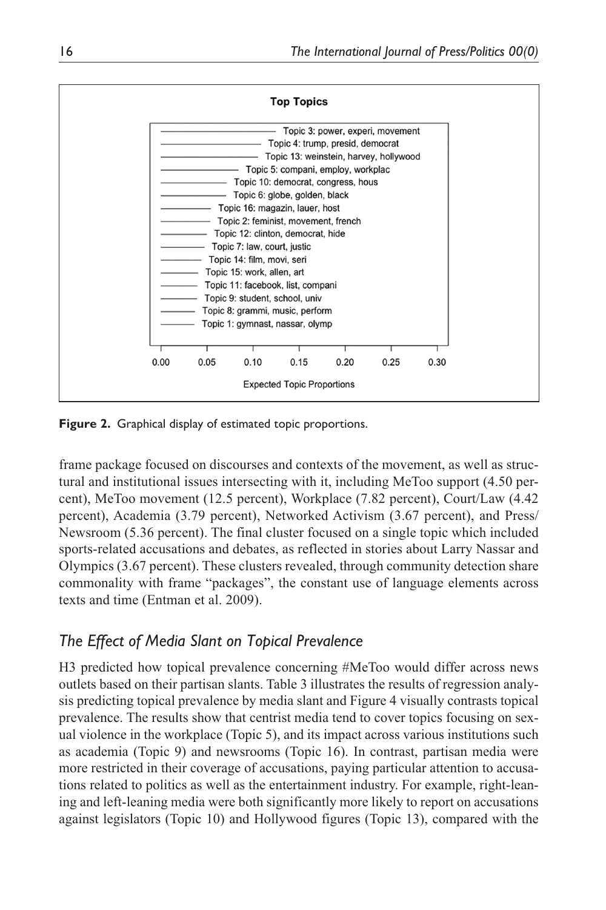

**Figure 2.** Graphical display of estimated topic proportions.

frame package focused on discourses and contexts of the movement, as well as structural and institutional issues intersecting with it, including MeToo support (4.50 percent), MeToo movement (12.5 percent), Workplace (7.82 percent), Court/Law (4.42 percent), Academia (3.79 percent), Networked Activism (3.67 percent), and Press/ Newsroom (5.36 percent). The final cluster focused on a single topic which included sports-related accusations and debates, as reflected in stories about Larry Nassar and Olympics (3.67 percent). These clusters revealed, through community detection share commonality with frame "packages", the constant use of language elements across texts and time (Entman et al. 2009).

# *The Effect of Media Slant on Topical Prevalence*

H3 predicted how topical prevalence concerning #MeToo would differ across news outlets based on their partisan slants. Table 3 illustrates the results of regression analysis predicting topical prevalence by media slant and Figure 4 visually contrasts topical prevalence. The results show that centrist media tend to cover topics focusing on sexual violence in the workplace (Topic 5), and its impact across various institutions such as academia (Topic 9) and newsrooms (Topic 16). In contrast, partisan media were more restricted in their coverage of accusations, paying particular attention to accusations related to politics as well as the entertainment industry. For example, right-leaning and left-leaning media were both significantly more likely to report on accusations against legislators (Topic 10) and Hollywood figures (Topic 13), compared with the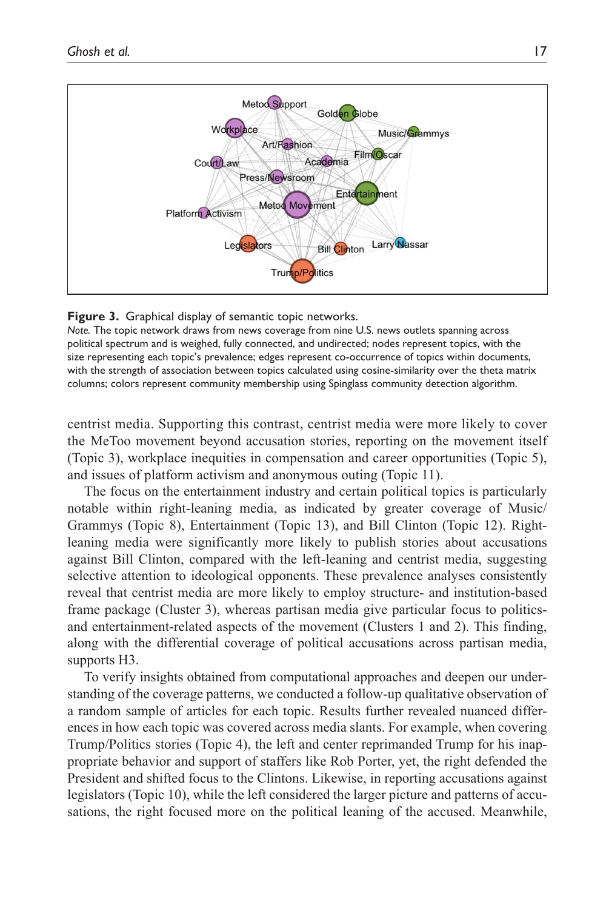



*Note.* The topic network draws from news coverage from nine U.S. news outlets spanning across political spectrum and is weighed, fully connected, and undirected; nodes represent topics, with the size representing each topic's prevalence; edges represent co-occurrence of topics within documents, with the strength of association between topics calculated using cosine-similarity over the theta matrix columns; colors represent community membership using Spinglass community detection algorithm.

centrist media. Supporting this contrast, centrist media were more likely to cover the MeToo movement beyond accusation stories, reporting on the movement itself (Topic 3), workplace inequities in compensation and career opportunities (Topic 5), and issues of platform activism and anonymous outing (Topic 11).

The focus on the entertainment industry and certain political topics is particularly notable within right-leaning media, as indicated by greater coverage of Music/ Grammys (Topic 8), Entertainment (Topic 13), and Bill Clinton (Topic 12). Rightleaning media were significantly more likely to publish stories about accusations against Bill Clinton, compared with the left-leaning and centrist media, suggesting selective attention to ideological opponents. These prevalence analyses consistently reveal that centrist media are more likely to employ structure- and institution-based frame package (Cluster 3), whereas partisan media give particular focus to politicsand entertainment-related aspects of the movement (Clusters 1 and 2). This finding, along with the differential coverage of political accusations across partisan media, supports H3.

To verify insights obtained from computational approaches and deepen our understanding of the coverage patterns, we conducted a follow-up qualitative observation of a random sample of articles for each topic. Results further revealed nuanced differences in how each topic was covered across media slants. For example, when covering Trump/Politics stories (Topic 4), the left and center reprimanded Trump for his inappropriate behavior and support of staffers like Rob Porter, yet, the right defended the President and shifted focus to the Clintons. Likewise, in reporting accusations against legislators (Topic 10), while the left considered the larger picture and patterns of accusations, the right focused more on the political leaning of the accused. Meanwhile,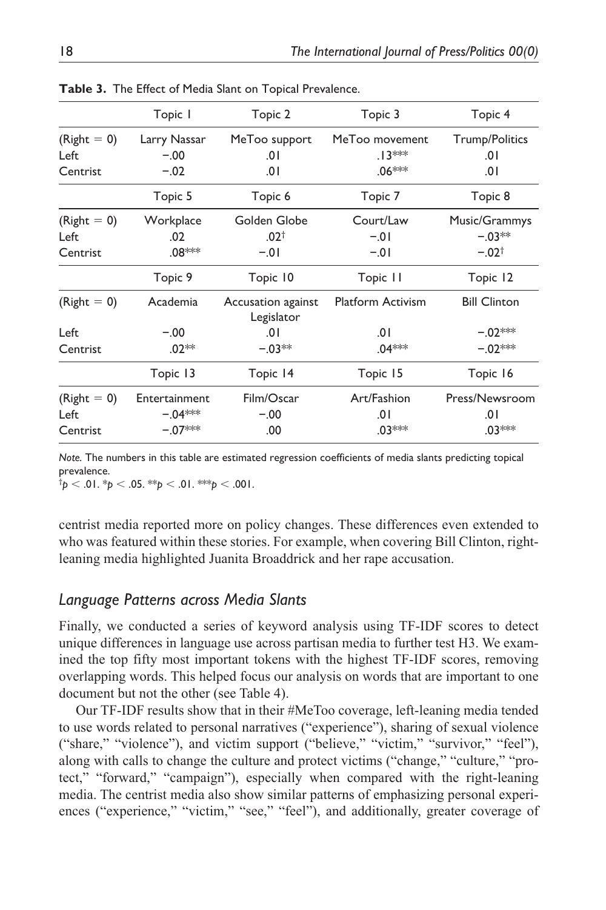|                       | Topic I                    | Topic 2                          | Topic 3                  | Topic 4               |
|-----------------------|----------------------------|----------------------------------|--------------------------|-----------------------|
| $(Right = 0)$<br>Left | Larry Nassar<br>$-.00$     | MeToo support<br>0۱.             | MeToo movement<br>.13*** | Trump/Politics<br>0۱. |
| Centrist              | $-.02$                     | 0١.                              | $.06***$                 | .01                   |
|                       | Topic 5                    | Topic 6                          | Topic 7                  | Topic 8               |
| $(Right = 0)$         | Workplace                  | Golden Globe                     | Court/Law                | Music/Grammys         |
| Left                  | .02                        | $.02^+$                          | $-.01$                   | $-.03**$              |
| Centrist              | $.08***$                   | $-.01$                           | $-.01$                   | $-.02^+$              |
|                       | Topic 9                    | Topic 10                         | Topic 11                 | Topic 12              |
| $(Right = 0)$         | Academia                   | Accusation against<br>Legislator | <b>Platform Activism</b> | <b>Bill Clinton</b>   |
| Left                  | $-.00$                     | .01                              | .01                      | $-.02***$             |
| Centrist              | $.02**$                    | $-.03**$                         | $.04***$                 | $-02***$              |
|                       | Topic 13                   | Topic 14                         | Topic 15                 | Topic 16              |
| $(Right = 0)$<br>Left | Entertainment<br>$-.04***$ | Film/Oscar<br>$-.00$             | Art/Fashion<br>0١.       | Press/Newsroom<br>.OI |
| Centrist              | $-.07***$                  | .00                              | .03***                   | $.03***$              |

**Table 3.** The Effect of Media Slant on Topical Prevalence.

*Note.* The numbers in this table are estimated regression coefficients of media slants predicting topical prevalence.

† *p* < .01. \**p* < .05. \*\**p* < .01. \*\*\**p* < .001.

centrist media reported more on policy changes. These differences even extended to who was featured within these stories. For example, when covering Bill Clinton, rightleaning media highlighted Juanita Broaddrick and her rape accusation.

### *Language Patterns across Media Slants*

Finally, we conducted a series of keyword analysis using TF-IDF scores to detect unique differences in language use across partisan media to further test H3. We examined the top fifty most important tokens with the highest TF-IDF scores, removing overlapping words. This helped focus our analysis on words that are important to one document but not the other (see Table 4).

Our TF-IDF results show that in their #MeToo coverage, left-leaning media tended to use words related to personal narratives ("experience"), sharing of sexual violence ("share," "violence"), and victim support ("believe," "victim," "survivor," "feel"), along with calls to change the culture and protect victims ("change," "culture," "protect," "forward," "campaign"), especially when compared with the right-leaning media. The centrist media also show similar patterns of emphasizing personal experiences ("experience," "victim," "see," "feel"), and additionally, greater coverage of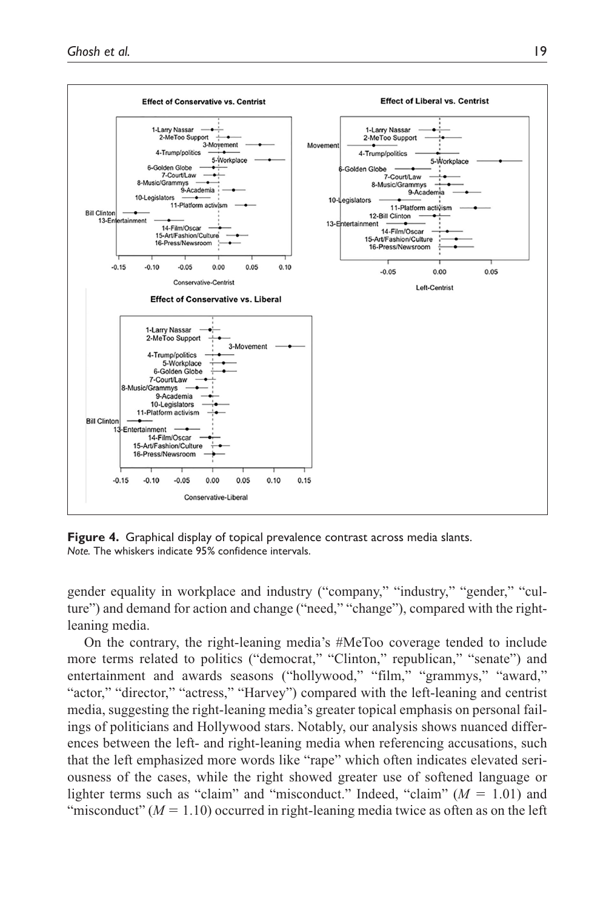

**Figure 4.** Graphical display of topical prevalence contrast across media slants. *Note.* The whiskers indicate 95% confidence intervals.

gender equality in workplace and industry ("company," "industry," "gender," "culture") and demand for action and change ("need," "change"), compared with the rightleaning media.

On the contrary, the right-leaning media's #MeToo coverage tended to include more terms related to politics ("democrat," "Clinton," republican," "senate") and entertainment and awards seasons ("hollywood," "film," "grammys," "award," "actor," "director," "actress," "Harvey") compared with the left-leaning and centrist media, suggesting the right-leaning media's greater topical emphasis on personal failings of politicians and Hollywood stars. Notably, our analysis shows nuanced differences between the left- and right-leaning media when referencing accusations, such that the left emphasized more words like "rape" which often indicates elevated seriousness of the cases, while the right showed greater use of softened language or lighter terms such as "claim" and "misconduct." Indeed, "claim" (*M* = 1.01) and "misconduct"  $(M = 1.10)$  occurred in right-leaning media twice as often as on the left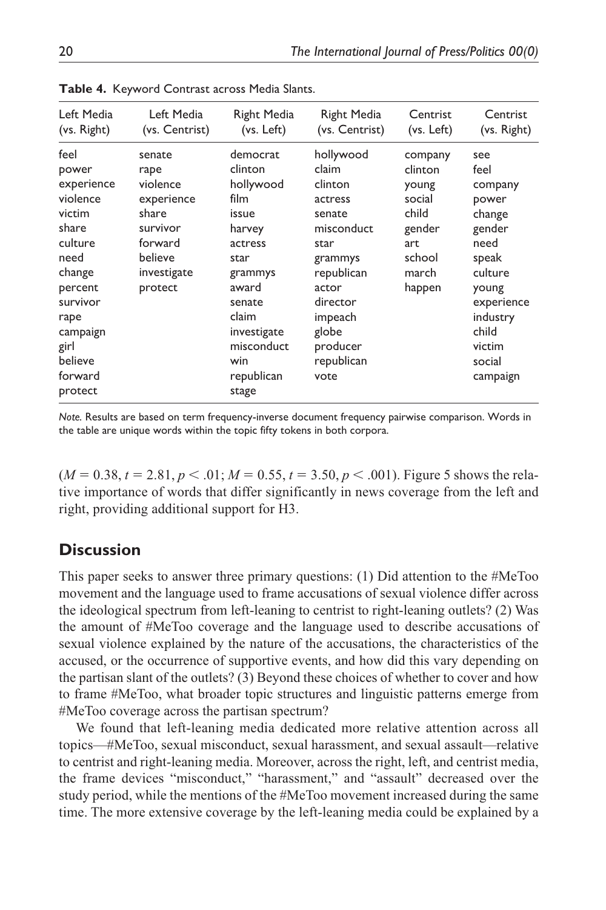| Left Media                                                                                                                                                                  | Left Media                                                                                                    | Right Media                                                                                                                                                                      | Right Media                                                                                                                                                                  | Centrist                                                                                     | Centrist                                                                                                                                                    |
|-----------------------------------------------------------------------------------------------------------------------------------------------------------------------------|---------------------------------------------------------------------------------------------------------------|----------------------------------------------------------------------------------------------------------------------------------------------------------------------------------|------------------------------------------------------------------------------------------------------------------------------------------------------------------------------|----------------------------------------------------------------------------------------------|-------------------------------------------------------------------------------------------------------------------------------------------------------------|
| (vs. Right)                                                                                                                                                                 | (vs. Centrist)                                                                                                | (vs. Left)                                                                                                                                                                       | (vs. Centrist)                                                                                                                                                               | (vs. Left)                                                                                   | (vs. Right)                                                                                                                                                 |
| feel<br>power<br>experience<br>violence<br>victim<br>share<br>culture<br>need<br>change<br>percent<br>survivor<br>rape<br>campaign<br>girl<br>believe<br>forward<br>protect | senate<br>rape<br>violence<br>experience<br>share<br>survivor<br>forward<br>believe<br>investigate<br>protect | democrat<br>clinton<br>hollywood<br>film<br>issue<br>harvey<br>actress<br>star<br>grammys<br>award<br>senate<br>claim<br>investigate<br>misconduct<br>win<br>republican<br>stage | hollywood<br>claim<br>clinton<br>actress<br>senate<br>misconduct<br>star<br>grammys<br>republican<br>actor<br>director<br>impeach<br>globe<br>producer<br>republican<br>vote | company<br>clinton<br>young<br>social<br>child<br>gender<br>art<br>school<br>march<br>happen | see<br>feel<br>company<br>power<br>change<br>gender<br>need<br>speak<br>culture<br>young<br>experience<br>industry<br>child<br>victim<br>social<br>campaign |

**Table 4.** Keyword Contrast across Media Slants.

*Note.* Results are based on term frequency-inverse document frequency pairwise comparison. Words in the table are unique words within the topic fifty tokens in both corpora.

 $(M = 0.38, t = 2.81, p < .01; M = 0.55, t = 3.50, p < .001)$ . Figure 5 shows the relative importance of words that differ significantly in news coverage from the left and right, providing additional support for H3.

# **Discussion**

This paper seeks to answer three primary questions: (1) Did attention to the #MeToo movement and the language used to frame accusations of sexual violence differ across the ideological spectrum from left-leaning to centrist to right-leaning outlets? (2) Was the amount of #MeToo coverage and the language used to describe accusations of sexual violence explained by the nature of the accusations, the characteristics of the accused, or the occurrence of supportive events, and how did this vary depending on the partisan slant of the outlets? (3) Beyond these choices of whether to cover and how to frame #MeToo, what broader topic structures and linguistic patterns emerge from #MeToo coverage across the partisan spectrum?

We found that left-leaning media dedicated more relative attention across all topics—#MeToo, sexual misconduct, sexual harassment, and sexual assault—relative to centrist and right-leaning media. Moreover, across the right, left, and centrist media, the frame devices "misconduct," "harassment," and "assault" decreased over the study period, while the mentions of the #MeToo movement increased during the same time. The more extensive coverage by the left-leaning media could be explained by a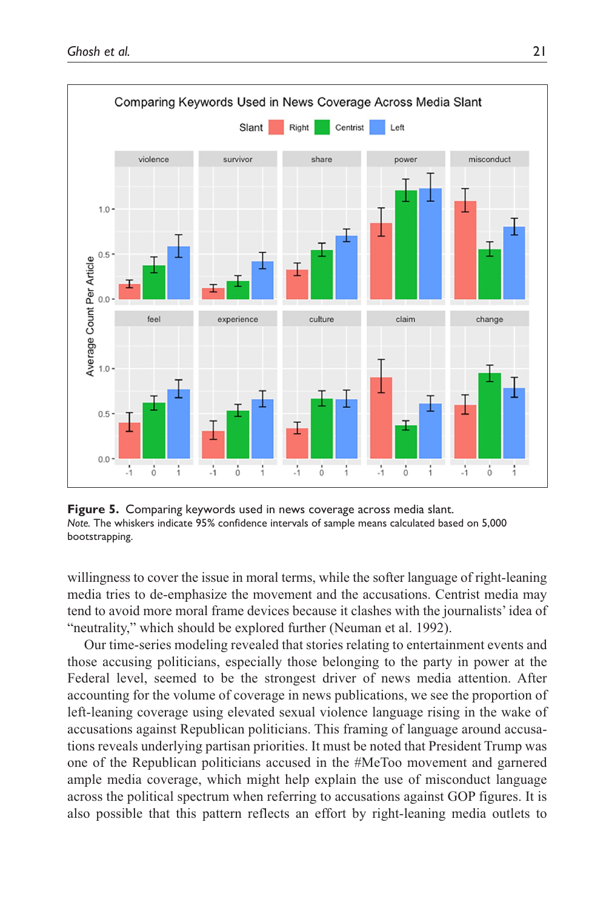

**Figure 5.** Comparing keywords used in news coverage across media slant. *Note.* The whiskers indicate 95% confidence intervals of sample means calculated based on 5,000 bootstrapping.

willingness to cover the issue in moral terms, while the softer language of right-leaning media tries to de-emphasize the movement and the accusations. Centrist media may tend to avoid more moral frame devices because it clashes with the journalists' idea of "neutrality," which should be explored further (Neuman et al. 1992).

Our time-series modeling revealed that stories relating to entertainment events and those accusing politicians, especially those belonging to the party in power at the Federal level, seemed to be the strongest driver of news media attention. After accounting for the volume of coverage in news publications, we see the proportion of left-leaning coverage using elevated sexual violence language rising in the wake of accusations against Republican politicians. This framing of language around accusations reveals underlying partisan priorities. It must be noted that President Trump was one of the Republican politicians accused in the #MeToo movement and garnered ample media coverage, which might help explain the use of misconduct language across the political spectrum when referring to accusations against GOP figures. It is also possible that this pattern reflects an effort by right-leaning media outlets to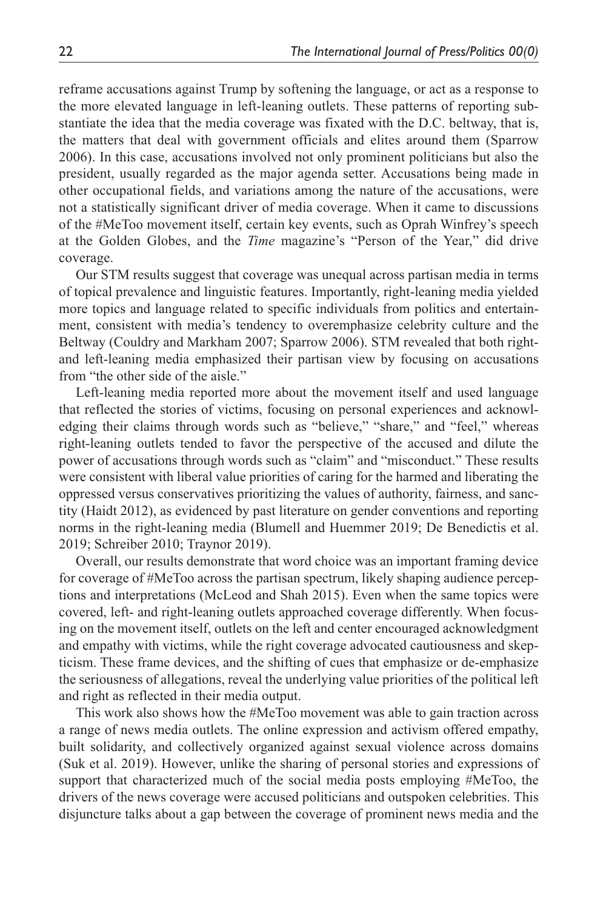reframe accusations against Trump by softening the language, or act as a response to the more elevated language in left-leaning outlets. These patterns of reporting substantiate the idea that the media coverage was fixated with the D.C. beltway, that is, the matters that deal with government officials and elites around them (Sparrow 2006). In this case, accusations involved not only prominent politicians but also the president, usually regarded as the major agenda setter. Accusations being made in other occupational fields, and variations among the nature of the accusations, were not a statistically significant driver of media coverage. When it came to discussions of the #MeToo movement itself, certain key events, such as Oprah Winfrey's speech at the Golden Globes, and the *Time* magazine's "Person of the Year," did drive coverage.

Our STM results suggest that coverage was unequal across partisan media in terms of topical prevalence and linguistic features. Importantly, right-leaning media yielded more topics and language related to specific individuals from politics and entertainment, consistent with media's tendency to overemphasize celebrity culture and the Beltway (Couldry and Markham 2007; Sparrow 2006). STM revealed that both rightand left-leaning media emphasized their partisan view by focusing on accusations from "the other side of the aisle."

Left-leaning media reported more about the movement itself and used language that reflected the stories of victims, focusing on personal experiences and acknowledging their claims through words such as "believe," "share," and "feel," whereas right-leaning outlets tended to favor the perspective of the accused and dilute the power of accusations through words such as "claim" and "misconduct." These results were consistent with liberal value priorities of caring for the harmed and liberating the oppressed versus conservatives prioritizing the values of authority, fairness, and sanctity (Haidt 2012), as evidenced by past literature on gender conventions and reporting norms in the right-leaning media (Blumell and Huemmer 2019; De Benedictis et al. 2019; Schreiber 2010; Traynor 2019).

Overall, our results demonstrate that word choice was an important framing device for coverage of #MeToo across the partisan spectrum, likely shaping audience perceptions and interpretations (McLeod and Shah 2015). Even when the same topics were covered, left- and right-leaning outlets approached coverage differently. When focusing on the movement itself, outlets on the left and center encouraged acknowledgment and empathy with victims, while the right coverage advocated cautiousness and skepticism. These frame devices, and the shifting of cues that emphasize or de-emphasize the seriousness of allegations, reveal the underlying value priorities of the political left and right as reflected in their media output.

This work also shows how the #MeToo movement was able to gain traction across a range of news media outlets. The online expression and activism offered empathy, built solidarity, and collectively organized against sexual violence across domains (Suk et al. 2019). However, unlike the sharing of personal stories and expressions of support that characterized much of the social media posts employing #MeToo, the drivers of the news coverage were accused politicians and outspoken celebrities. This disjuncture talks about a gap between the coverage of prominent news media and the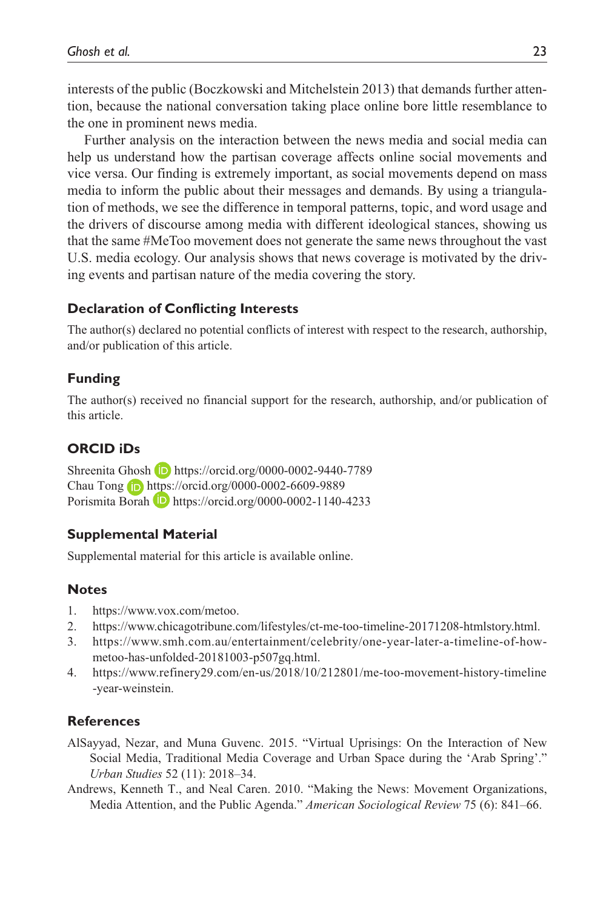interests of the public (Boczkowski and Mitchelstein 2013) that demands further attention, because the national conversation taking place online bore little resemblance to the one in prominent news media.

Further analysis on the interaction between the news media and social media can help us understand how the partisan coverage affects online social movements and vice versa. Our finding is extremely important, as social movements depend on mass media to inform the public about their messages and demands. By using a triangulation of methods, we see the difference in temporal patterns, topic, and word usage and the drivers of discourse among media with different ideological stances, showing us that the same #MeToo movement does not generate the same news throughout the vast U.S. media ecology. Our analysis shows that news coverage is motivated by the driving events and partisan nature of the media covering the story.

## **Declaration of Conflicting Interests**

The author(s) declared no potential conflicts of interest with respect to the research, authorship, and/or publication of this article.

### **Funding**

The author(s) received no financial support for the research, authorship, and/or publication of this article.

# **ORCID iDs**

Shreenita Ghosh **D** <https://orcid.org/0000-0002-9440-7789> Chau Tong <https://orcid.org/0000-0002-6609-9889> Porismita Borah D <https://orcid.org/0000-0002-1140-4233>

### **Supplemental Material**

Supplemental material for this article is available online.

### **Notes**

- 1. <https://www.vox.com/metoo>.
- 2. <https://www.chicagotribune.com/lifestyles/ct-me-too-timeline-20171208-htmlstory.html>.
- 3. [https://www.smh.com.au/entertainment/celebrity/one-year-later-a-timeline-of-how](https://www.smh.com.au/entertainment/celebrity/one-year-later-a-timeline-of-how-metoo-has-unfolded-20181003-p507gq.html)[metoo-has-unfolded-20181003-p507gq.html](https://www.smh.com.au/entertainment/celebrity/one-year-later-a-timeline-of-how-metoo-has-unfolded-20181003-p507gq.html).
- 4. [https://www.refinery29.com/en-us/2018/10/212801/me-too-movement-history-timeline](https://www.refinery29.com/en-us/2018/10/212801/me-too-movement-history-timeline-year-weinstein) [-year-weinstein.](https://www.refinery29.com/en-us/2018/10/212801/me-too-movement-history-timeline-year-weinstein)

### **References**

- AlSayyad, Nezar, and Muna Guvenc. 2015. "Virtual Uprisings: On the Interaction of New Social Media, Traditional Media Coverage and Urban Space during the 'Arab Spring'." *Urban Studies* 52 (11): 2018–34.
- Andrews, Kenneth T., and Neal Caren. 2010. "Making the News: Movement Organizations, Media Attention, and the Public Agenda." *American Sociological Review* 75 (6): 841–66.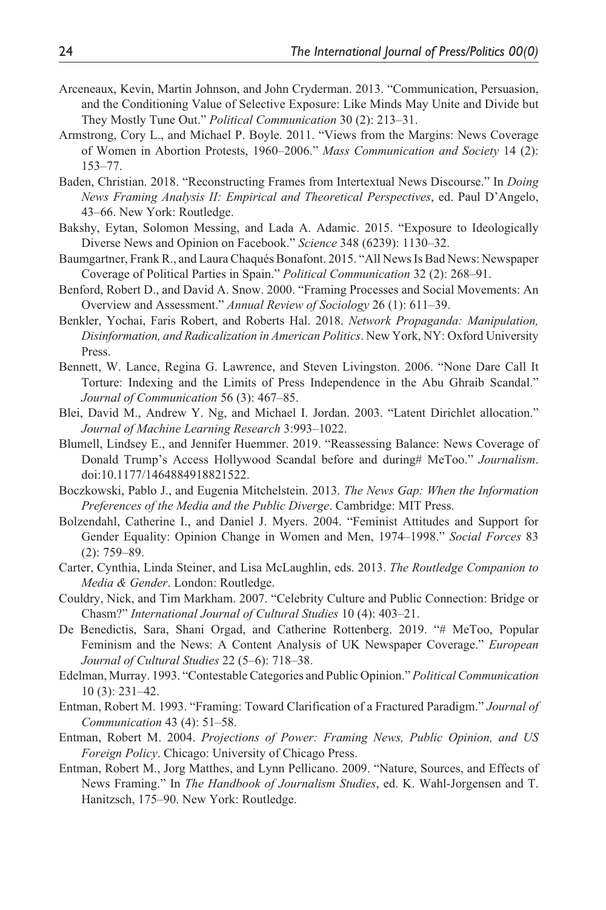- Arceneaux, Kevin, Martin Johnson, and John Cryderman. 2013. "Communication, Persuasion, and the Conditioning Value of Selective Exposure: Like Minds May Unite and Divide but They Mostly Tune Out." *Political Communication* 30 (2): 213–31.
- Armstrong, Cory L., and Michael P. Boyle. 2011. "Views from the Margins: News Coverage of Women in Abortion Protests, 1960–2006." *Mass Communication and Society* 14 (2): 153–77.
- Baden, Christian. 2018. "Reconstructing Frames from Intertextual News Discourse." In *Doing News Framing Analysis II: Empirical and Theoretical Perspectives*, ed. Paul D'Angelo, 43–66. New York: Routledge.
- Bakshy, Eytan, Solomon Messing, and Lada A. Adamic. 2015. "Exposure to Ideologically Diverse News and Opinion on Facebook." *Science* 348 (6239): 1130–32.
- Baumgartner, Frank R., and Laura Chaqués Bonafont. 2015. "All News Is Bad News: Newspaper Coverage of Political Parties in Spain." *Political Communication* 32 (2): 268–91.
- Benford, Robert D., and David A. Snow. 2000. "Framing Processes and Social Movements: An Overview and Assessment." *Annual Review of Sociology* 26 (1): 611–39.
- Benkler, Yochai, Faris Robert, and Roberts Hal. 2018. *Network Propaganda: Manipulation, Disinformation, and Radicalization in American Politics*. New York, NY: Oxford University Press.
- Bennett, W. Lance, Regina G. Lawrence, and Steven Livingston. 2006. "None Dare Call It Torture: Indexing and the Limits of Press Independence in the Abu Ghraib Scandal." *Journal of Communication* 56 (3): 467–85.
- Blei, David M., Andrew Y. Ng, and Michael I. Jordan. 2003. "Latent Dirichlet allocation." *Journal of Machine Learning Research* 3:993–1022.
- Blumell, Lindsey E., and Jennifer Huemmer. 2019. "Reassessing Balance: News Coverage of Donald Trump's Access Hollywood Scandal before and during# MeToo." *Journalism*. doi:10.1177/1464884918821522.
- Boczkowski, Pablo J., and Eugenia Mitchelstein. 2013. *The News Gap: When the Information Preferences of the Media and the Public Diverge*. Cambridge: MIT Press.
- Bolzendahl, Catherine I., and Daniel J. Myers. 2004. "Feminist Attitudes and Support for Gender Equality: Opinion Change in Women and Men, 1974–1998." *Social Forces* 83 (2): 759–89.
- Carter, Cynthia, Linda Steiner, and Lisa McLaughlin, eds. 2013. *The Routledge Companion to Media & Gender*. London: Routledge.
- Couldry, Nick, and Tim Markham. 2007. "Celebrity Culture and Public Connection: Bridge or Chasm?" *International Journal of Cultural Studies* 10 (4): 403–21.
- De Benedictis, Sara, Shani Orgad, and Catherine Rottenberg. 2019. "# MeToo, Popular Feminism and the News: A Content Analysis of UK Newspaper Coverage." *European Journal of Cultural Studies* 22 (5–6): 718–38.
- Edelman, Murray. 1993. "Contestable Categories and Public Opinion." *Political Communication* 10 (3): 231–42.
- Entman, Robert M. 1993. "Framing: Toward Clarification of a Fractured Paradigm." *Journal of Communication* 43 (4): 51–58.
- Entman, Robert M. 2004. *Projections of Power: Framing News, Public Opinion, and US Foreign Policy*. Chicago: University of Chicago Press.
- Entman, Robert M., Jorg Matthes, and Lynn Pellicano. 2009. "Nature, Sources, and Effects of News Framing." In *The Handbook of Journalism Studies*, ed. K. Wahl-Jorgensen and T. Hanitzsch, 175–90. New York: Routledge.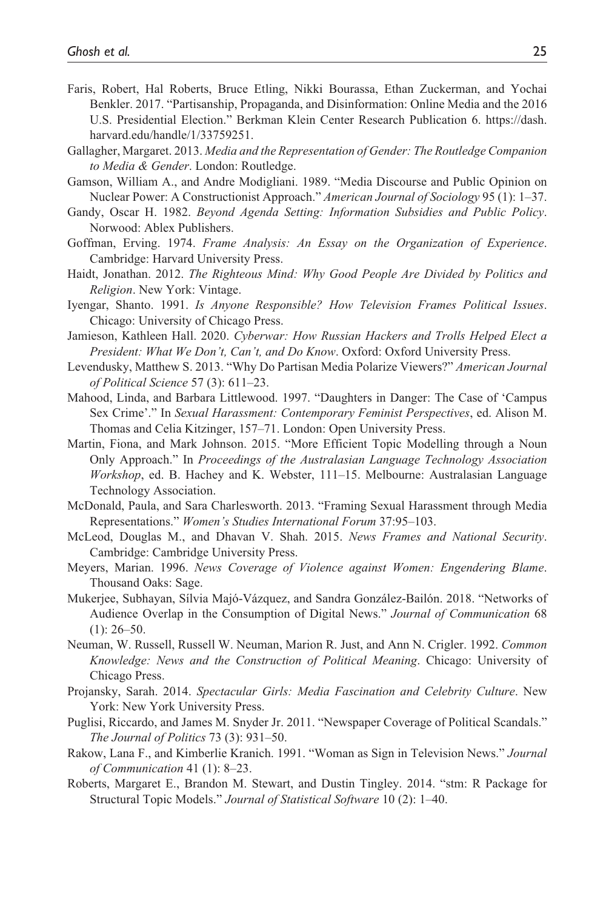- Faris, Robert, Hal Roberts, Bruce Etling, Nikki Bourassa, Ethan Zuckerman, and Yochai Benkler. 2017. "Partisanship, Propaganda, and Disinformation: Online Media and the 2016 U.S. Presidential Election." Berkman Klein Center Research Publication 6. [https://dash.](https://dash.harvard.edu/handle/1/33759251) [harvard.edu/handle/1/33759251.](https://dash.harvard.edu/handle/1/33759251)
- Gallagher, Margaret. 2013. *Media and the Representation of Gender: The Routledge Companion to Media & Gender*. London: Routledge.
- Gamson, William A., and Andre Modigliani. 1989. "Media Discourse and Public Opinion on Nuclear Power: A Constructionist Approach." *American Journal of Sociology* 95 (1): 1–37.
- Gandy, Oscar H. 1982. *Beyond Agenda Setting: Information Subsidies and Public Policy*. Norwood: Ablex Publishers.
- Goffman, Erving. 1974. *Frame Analysis: An Essay on the Organization of Experience*. Cambridge: Harvard University Press.
- Haidt, Jonathan. 2012. *The Righteous Mind: Why Good People Are Divided by Politics and Religion*. New York: Vintage.
- Iyengar, Shanto. 1991. *Is Anyone Responsible? How Television Frames Political Issues*. Chicago: University of Chicago Press.
- Jamieson, Kathleen Hall. 2020. *Cyberwar: How Russian Hackers and Trolls Helped Elect a President: What We Don't, Can't, and Do Know*. Oxford: Oxford University Press.
- Levendusky, Matthew S. 2013. "Why Do Partisan Media Polarize Viewers?" *American Journal of Political Science* 57 (3): 611–23.
- Mahood, Linda, and Barbara Littlewood. 1997. "Daughters in Danger: The Case of 'Campus Sex Crime'." In *Sexual Harassment: Contemporary Feminist Perspectives*, ed. Alison M. Thomas and Celia Kitzinger, 157–71. London: Open University Press.
- Martin, Fiona, and Mark Johnson. 2015. "More Efficient Topic Modelling through a Noun Only Approach." In *Proceedings of the Australasian Language Technology Association Workshop*, ed. B. Hachey and K. Webster, 111–15. Melbourne: Australasian Language Technology Association.
- McDonald, Paula, and Sara Charlesworth. 2013. "Framing Sexual Harassment through Media Representations." *Women's Studies International Forum* 37:95–103.
- McLeod, Douglas M., and Dhavan V. Shah. 2015. *News Frames and National Security*. Cambridge: Cambridge University Press.
- Meyers, Marian. 1996. *News Coverage of Violence against Women: Engendering Blame*. Thousand Oaks: Sage.
- Mukerjee, Subhayan, Sílvia Majó-Vázquez, and Sandra González-Bailón. 2018. "Networks of Audience Overlap in the Consumption of Digital News." *Journal of Communication* 68  $(1)$ : 26–50.
- Neuman, W. Russell, Russell W. Neuman, Marion R. Just, and Ann N. Crigler. 1992. *Common Knowledge: News and the Construction of Political Meaning*. Chicago: University of Chicago Press.
- Projansky, Sarah. 2014. *Spectacular Girls: Media Fascination and Celebrity Culture*. New York: New York University Press.
- Puglisi, Riccardo, and James M. Snyder Jr. 2011. "Newspaper Coverage of Political Scandals." *The Journal of Politics* 73 (3): 931–50.
- Rakow, Lana F., and Kimberlie Kranich. 1991. "Woman as Sign in Television News." *Journal of Communication* 41 (1): 8–23.
- Roberts, Margaret E., Brandon M. Stewart, and Dustin Tingley. 2014. "stm: R Package for Structural Topic Models." *Journal of Statistical Software* 10 (2): 1–40.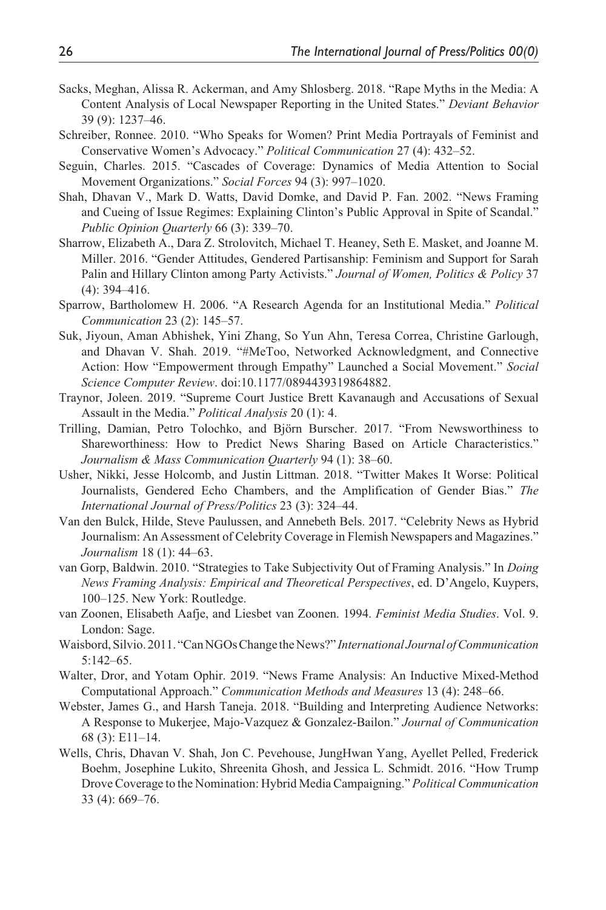- Sacks, Meghan, Alissa R. Ackerman, and Amy Shlosberg. 2018. "Rape Myths in the Media: A Content Analysis of Local Newspaper Reporting in the United States." *Deviant Behavior* 39 (9): 1237–46.
- Schreiber, Ronnee. 2010. "Who Speaks for Women? Print Media Portrayals of Feminist and Conservative Women's Advocacy." *Political Communication* 27 (4): 432–52.
- Seguin, Charles. 2015. "Cascades of Coverage: Dynamics of Media Attention to Social Movement Organizations." *Social Forces* 94 (3): 997–1020.
- Shah, Dhavan V., Mark D. Watts, David Domke, and David P. Fan. 2002. "News Framing and Cueing of Issue Regimes: Explaining Clinton's Public Approval in Spite of Scandal." *Public Opinion Quarterly* 66 (3): 339–70.
- Sharrow, Elizabeth A., Dara Z. Strolovitch, Michael T. Heaney, Seth E. Masket, and Joanne M. Miller. 2016. "Gender Attitudes, Gendered Partisanship: Feminism and Support for Sarah Palin and Hillary Clinton among Party Activists." *Journal of Women, Politics & Policy* 37 (4): 394–416.
- Sparrow, Bartholomew H. 2006. "A Research Agenda for an Institutional Media." *Political Communication* 23 (2): 145–57.
- Suk, Jiyoun, Aman Abhishek, Yini Zhang, So Yun Ahn, Teresa Correa, Christine Garlough, and Dhavan V. Shah. 2019. "#MeToo, Networked Acknowledgment, and Connective Action: How "Empowerment through Empathy" Launched a Social Movement." *Social Science Computer Review*. doi:10.1177/0894439319864882.
- Traynor, Joleen. 2019. "Supreme Court Justice Brett Kavanaugh and Accusations of Sexual Assault in the Media." *Political Analysis* 20 (1): 4.
- Trilling, Damian, Petro Tolochko, and Björn Burscher. 2017. "From Newsworthiness to Shareworthiness: How to Predict News Sharing Based on Article Characteristics." *Journalism & Mass Communication Quarterly* 94 (1): 38–60.
- Usher, Nikki, Jesse Holcomb, and Justin Littman. 2018. "Twitter Makes It Worse: Political Journalists, Gendered Echo Chambers, and the Amplification of Gender Bias." *The International Journal of Press/Politics* 23 (3): 324–44.
- Van den Bulck, Hilde, Steve Paulussen, and Annebeth Bels. 2017. "Celebrity News as Hybrid Journalism: An Assessment of Celebrity Coverage in Flemish Newspapers and Magazines." *Journalism* 18 (1): 44–63.
- van Gorp, Baldwin. 2010. "Strategies to Take Subjectivity Out of Framing Analysis." In *Doing News Framing Analysis: Empirical and Theoretical Perspectives*, ed. D'Angelo, Kuypers, 100–125. New York: Routledge.
- van Zoonen, Elisabeth Aafje, and Liesbet van Zoonen. 1994. *Feminist Media Studies*. Vol. 9. London: Sage.
- Waisbord, Silvio. 2011. "Can NGOs Change the News?" *International Journal of Communication* 5:142–65.
- Walter, Dror, and Yotam Ophir. 2019. "News Frame Analysis: An Inductive Mixed-Method Computational Approach." *Communication Methods and Measures* 13 (4): 248–66.
- Webster, James G., and Harsh Taneja. 2018. "Building and Interpreting Audience Networks: A Response to Mukerjee, Majo-Vazquez & Gonzalez-Bailon." *Journal of Communication* 68 (3): E11–14.
- Wells, Chris, Dhavan V. Shah, Jon C. Pevehouse, JungHwan Yang, Ayellet Pelled, Frederick Boehm, Josephine Lukito, Shreenita Ghosh, and Jessica L. Schmidt. 2016. "How Trump Drove Coverage to the Nomination: Hybrid Media Campaigning." *Political Communication* 33 (4): 669–76.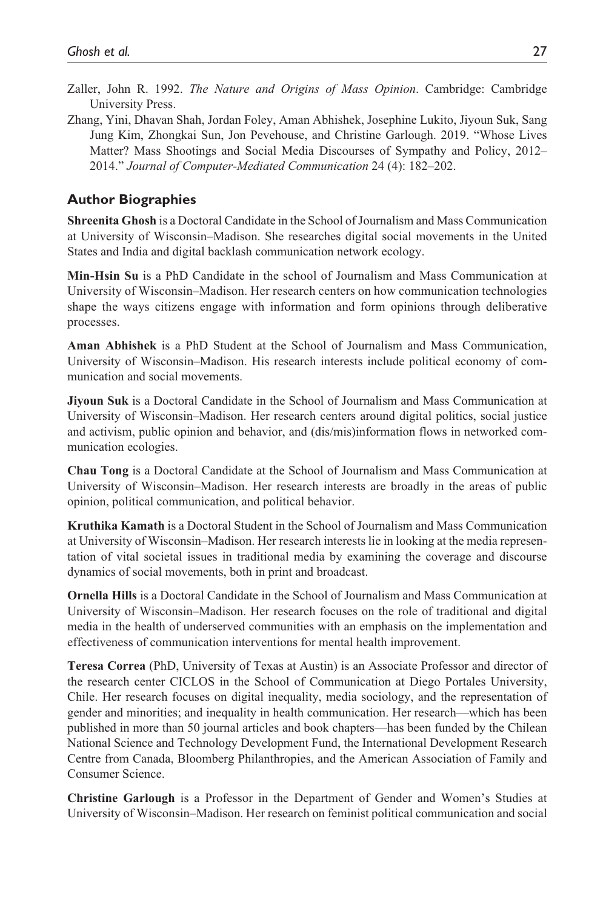- Zaller, John R. 1992. *The Nature and Origins of Mass Opinion*. Cambridge: Cambridge University Press.
- Zhang, Yini, Dhavan Shah, Jordan Foley, Aman Abhishek, Josephine Lukito, Jiyoun Suk, Sang Jung Kim, Zhongkai Sun, Jon Pevehouse, and Christine Garlough. 2019. "Whose Lives Matter? Mass Shootings and Social Media Discourses of Sympathy and Policy, 2012– 2014." *Journal of Computer-Mediated Communication* 24 (4): 182–202.

#### **Author Biographies**

**Shreenita Ghosh** is a Doctoral Candidate in the School of Journalism and Mass Communication at University of Wisconsin–Madison. She researches digital social movements in the United States and India and digital backlash communication network ecology.

**Min-Hsin Su** is a PhD Candidate in the school of Journalism and Mass Communication at University of Wisconsin–Madison. Her research centers on how communication technologies shape the ways citizens engage with information and form opinions through deliberative processes.

**Aman Abhishek** is a PhD Student at the School of Journalism and Mass Communication, University of Wisconsin–Madison. His research interests include political economy of communication and social movements.

**Jiyoun Suk** is a Doctoral Candidate in the School of Journalism and Mass Communication at University of Wisconsin–Madison. Her research centers around digital politics, social justice and activism, public opinion and behavior, and (dis/mis)information flows in networked communication ecologies.

**Chau Tong** is a Doctoral Candidate at the School of Journalism and Mass Communication at University of Wisconsin–Madison. Her research interests are broadly in the areas of public opinion, political communication, and political behavior.

**Kruthika Kamath** is a Doctoral Student in the School of Journalism and Mass Communication at University of Wisconsin–Madison. Her research interests lie in looking at the media representation of vital societal issues in traditional media by examining the coverage and discourse dynamics of social movements, both in print and broadcast.

**Ornella Hills** is a Doctoral Candidate in the School of Journalism and Mass Communication at University of Wisconsin–Madison. Her research focuses on the role of traditional and digital media in the health of underserved communities with an emphasis on the implementation and effectiveness of communication interventions for mental health improvement.

**Teresa Correa** (PhD, University of Texas at Austin) is an Associate Professor and director of the research center CICLOS in the School of Communication at Diego Portales University, Chile. Her research focuses on digital inequality, media sociology, and the representation of gender and minorities; and inequality in health communication. Her research—which has been published in more than 50 journal articles and book chapters—has been funded by the Chilean National Science and Technology Development Fund, the International Development Research Centre from Canada, Bloomberg Philanthropies, and the American Association of Family and Consumer Science.

**Christine Garlough** is a Professor in the Department of Gender and Women's Studies at University of Wisconsin–Madison. Her research on feminist political communication and social